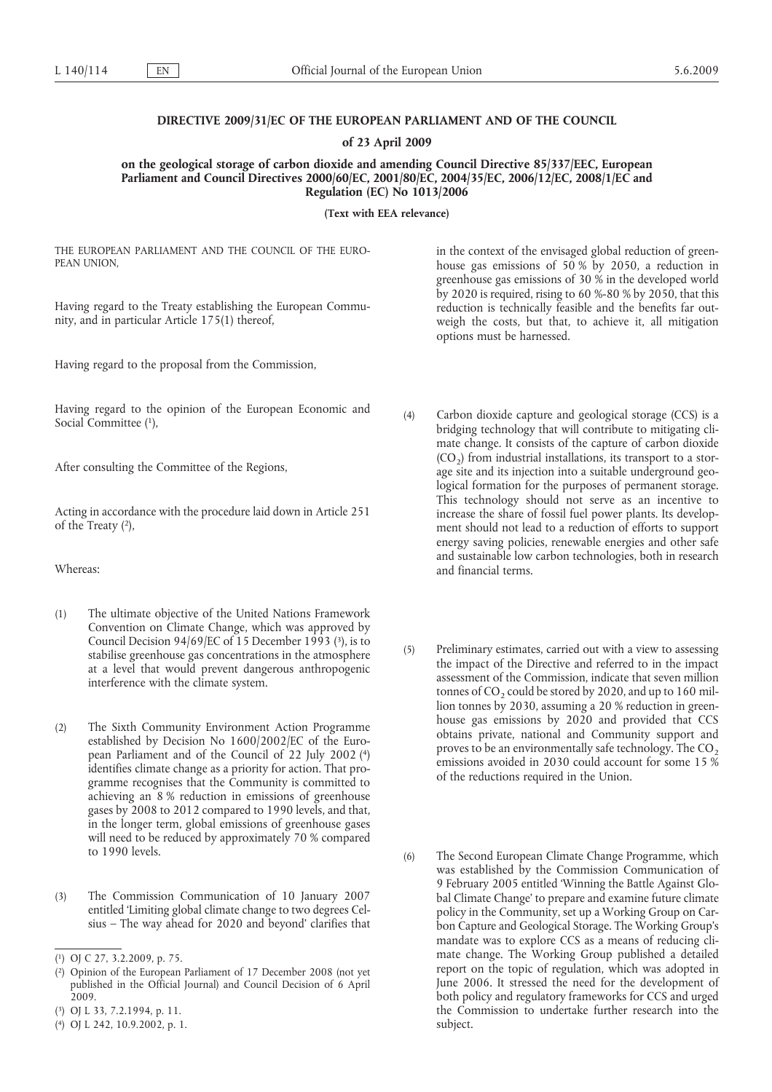# **DIRECTIVE 2009/31/EC OF THE EUROPEAN PARLIAMENT AND OF THE COUNCIL**

**of 23 April 2009**

**on the geological storage of carbon dioxide and amending Council Directive 85/337/EEC, European Parliament and Council Directives 2000/60/EC, 2001/80/EC, 2004/35/EC, 2006/12/EC, 2008/1/EC and Regulation (EC) No 1013/2006**

**(Text with EEA relevance)**

THE EUROPEAN PARLIAMENT AND THE COUNCIL OF THE EURO-PEAN UNION,

Having regard to the Treaty establishing the European Community, and in particular Article 175(1) thereof,

Having regard to the proposal from the Commission,

Social Committee (1), Having regard to the opinion of the European Economic and

After consulting the Committee of the Regions,

of the Treaty (2), Acting in accordance with the procedure laid down in Article 251

Whereas:

- Council Decision  $94/69/EC$  of 15 December 1993 (3), is to (1) The ultimate objective of the United Nations Framework Convention on Climate Change, which was approved by stabilise greenhouse gas concentrations in the atmosphere at a level that would prevent dangerous anthropogenic interference with the climate system.
- pean Parliament and of the Council of 22 July 2002 (4) (2) The Sixth Community Environment Action Programme established by Decision No 1600/2002/EC of the Euroidentifies climate change as a priority for action. That programme recognises that the Community is committed to achieving an 8 % reduction in emissions of greenhouse gases by 2008 to 2012 compared to 1990 levels, and that, in the longer term, global emissions of greenhouse gases will need to be reduced by approximately 70 % compared to 1990 levels.
- (3) The Commission Communication of 10 January 2007 entitled 'Limiting global climate change to two degrees Celsius – The way ahead for 2020 and beyond' clarifies that

( 2) Opinion of the European Parliament of 17 December 2008 (not yet published in the Official Journal) and Council Decision of 6 April 2009.

in the context of the envisaged global reduction of greenhouse gas emissions of 50 % by 2050, a reduction in greenhouse gas emissions of 30 % in the developed world by 2020 is required, rising to 60 %-80 % by 2050, that this reduction is technically feasible and the benefits far outweigh the costs, but that, to achieve it, all mitigation options must be harnessed.

- (4) Carbon dioxide capture and geological storage (CCS) is a bridging technology that will contribute to mitigating climate change. It consists of the capture of carbon dioxide  $(CO<sub>2</sub>)$  from industrial installations, its transport to a storage site and its injection into a suitable underground geological formation for the purposes of permanent storage. This technology should not serve as an incentive to increase the share of fossil fuel power plants. Its development should not lead to a reduction of efforts to support energy saving policies, renewable energies and other safe and sustainable low carbon technologies, both in research and financial terms.
- (5) Preliminary estimates, carried out with a view to assessing the impact of the Directive and referred to in the impact assessment of the Commission, indicate that seven million tonnes of  $CO<sub>2</sub>$  could be stored by 2020, and up to 160 million tonnes by 2030, assuming a 20 % reduction in greenhouse gas emissions by 2020 and provided that CCS obtains private, national and Community support and proves to be an environmentally safe technology. The  $CO<sub>2</sub>$ emissions avoided in 2030 could account for some 15 % of the reductions required in the Union.
- (6) The Second European Climate Change Programme, which was established by the Commission Communication of 9 February 2005 entitled 'Winning the Battle Against Global Climate Change' to prepare and examine future climate policy in the Community, set up a Working Group on Carbon Capture and Geological Storage. The Working Group's mandate was to explore CCS as a means of reducing climate change. The Working Group published a detailed report on the topic of regulation, which was adopted in June 2006. It stressed the need for the development of both policy and regulatory frameworks for CCS and urged the Commission to undertake further research into the subject.

<sup>(</sup> 1) [OJ C 27, 3.2.2009, p. 75.](http://eur-lex.europa.eu/LexUriServ/LexUriServ.do?uri=OJ:C:2009:027:0075:0075:EN:PDF)

<sup>(</sup> 3) [OJ L 33, 7.2.1994, p. 11.](http://eur-lex.europa.eu/Result.do?aaaa=1994&mm=02&jj=07&type=L&nnn=033&pppp=0011&RechType=RECH_reference_pub&Submit=Search)

<sup>(</sup> 4) [OJ L 242, 10.9.2002, p. 1.](http://eur-lex.europa.eu/LexUriServ/LexUriServ.do?uri=OJ:L:2002:242:0001:0001:EN:PDF)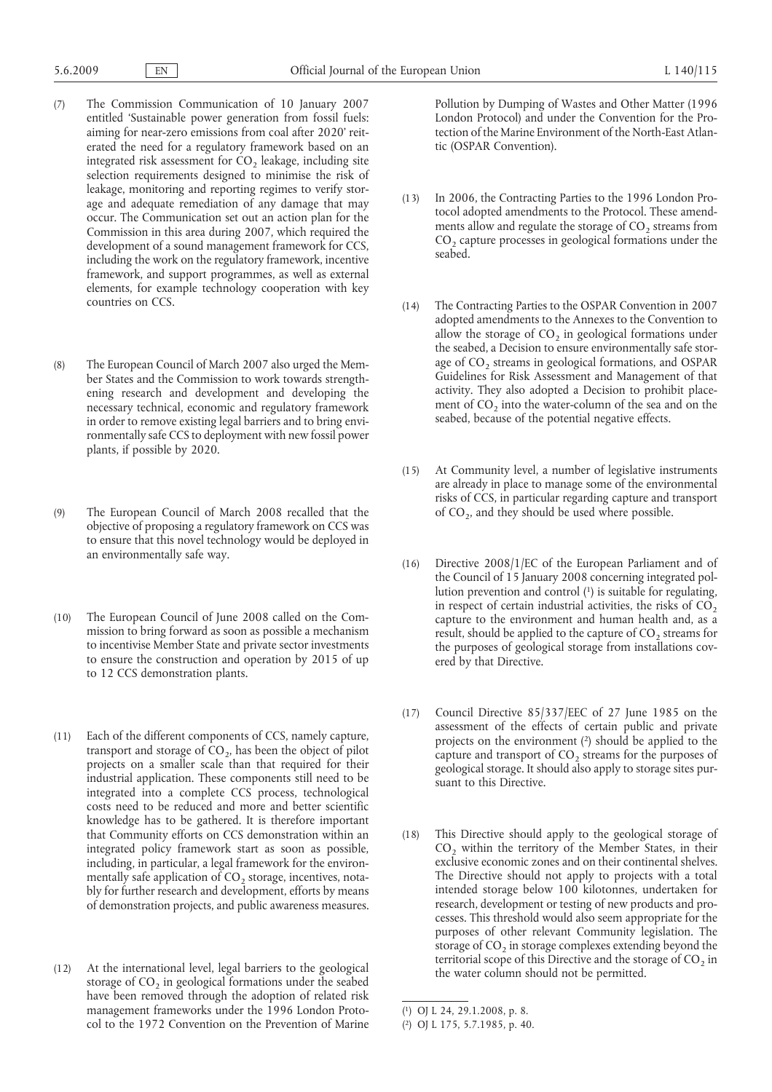- (7) The Commission Communication of 10 January 2007 entitled 'Sustainable power generation from fossil fuels: aiming for near-zero emissions from coal after 2020' reiterated the need for a regulatory framework based on an integrated risk assessment for  $CO<sub>2</sub>$  leakage, including site selection requirements designed to minimise the risk of leakage, monitoring and reporting regimes to verify storage and adequate remediation of any damage that may occur. The Communication set out an action plan for the Commission in this area during 2007, which required the development of a sound management framework for CCS, including the work on the regulatory framework, incentive framework, and support programmes, as well as external elements, for example technology cooperation with key countries on CCS.
- (8) The European Council of March 2007 also urged the Member States and the Commission to work towards strengthening research and development and developing the necessary technical, economic and regulatory framework in order to remove existing legal barriers and to bring environmentally safe CCS to deployment with new fossil power plants, if possible by 2020.
- (9) The European Council of March 2008 recalled that the objective of proposing a regulatory framework on CCS was to ensure that this novel technology would be deployed in an environmentally safe way.
- (10) The European Council of June 2008 called on the Commission to bring forward as soon as possible a mechanism to incentivise Member State and private sector investments to ensure the construction and operation by 2015 of up to 12 CCS demonstration plants.
- (11) Each of the different components of CCS, namely capture, transport and storage of  $CO<sub>2</sub>$ , has been the object of pilot projects on a smaller scale than that required for their industrial application. These components still need to be integrated into a complete CCS process, technological costs need to be reduced and more and better scientific knowledge has to be gathered. It is therefore important that Community efforts on CCS demonstration within an integrated policy framework start as soon as possible, including, in particular, a legal framework for the environmentally safe application of  $CO<sub>2</sub>$  storage, incentives, notably for further research and development, efforts by means of demonstration projects, and public awareness measures.
- (12) At the international level, legal barriers to the geological storage of  $CO<sub>2</sub>$  in geological formations under the seabed have been removed through the adoption of related risk management frameworks under the 1996 London Protocol to the 1972 Convention on the Prevention of Marine

Pollution by Dumping of Wastes and Other Matter (1996 London Protocol) and under the Convention for the Protection of the Marine Environment of the North-East Atlantic (OSPAR Convention).

- (13) In 2006, the Contracting Parties to the 1996 London Protocol adopted amendments to the Protocol. These amendments allow and regulate the storage of  $CO<sub>2</sub>$  streams from  $CO<sub>2</sub>$  capture processes in geological formations under the seabed.
- (14) The Contracting Parties to the OSPAR Convention in 2007 adopted amendments to the Annexes to the Convention to allow the storage of  $CO<sub>2</sub>$  in geological formations under the seabed, a Decision to ensure environmentally safe storage of  $CO<sub>2</sub>$  streams in geological formations, and OSPAR Guidelines for Risk Assessment and Management of that activity. They also adopted a Decision to prohibit placement of  $CO<sub>2</sub>$  into the water-column of the sea and on the seabed, because of the potential negative effects.
- (15) At Community level, a number of legislative instruments are already in place to manage some of the environmental risks of CCS, in particular regarding capture and transport of  $CO<sub>2</sub>$ , and they should be used where possible.
- lution prevention and control (1) is suitable for regulating, (16) Directive 2008/1/EC of the European Parliament and of the Council of 15 January 2008 concerning integrated polin respect of certain industrial activities, the risks of  $CO<sub>2</sub>$ capture to the environment and human health and, as a result, should be applied to the capture of CO<sub>2</sub> streams for the purposes of geological storage from installations covered by that Directive.
- projects on the environment (2) should be applied to the (17) Council Directive 85/337/EEC of 27 June 1985 on the assessment of the effects of certain public and private capture and transport of  $CO<sub>2</sub>$  streams for the purposes of geological storage. It should also apply to storage sites pursuant to this Directive.
- (18) This Directive should apply to the geological storage of CO<sub>2</sub> within the territory of the Member States, in their exclusive economic zones and on their continental shelves. The Directive should not apply to projects with a total intended storage below 100 kilotonnes, undertaken for research, development or testing of new products and processes. This threshold would also seem appropriate for the purposes of other relevant Community legislation. The storage of CO<sub>2</sub> in storage complexes extending beyond the territorial scope of this Directive and the storage of  $CO<sub>2</sub>$  in the water column should not be permitted.

<sup>(</sup> 1) [OJ L 24, 29.1.2008, p. 8.](http://eur-lex.europa.eu/LexUriServ/LexUriServ.do?uri=OJ:L:2008:024:0008:0008:EN:PDF)

<sup>(</sup> 2) [OJ L 175, 5.7.1985, p. 40.](http://eur-lex.europa.eu/Result.do?aaaa=1985&mm=07&jj=05&type=L&nnn=175&pppp=0040&RechType=RECH_reference_pub&Submit=Search)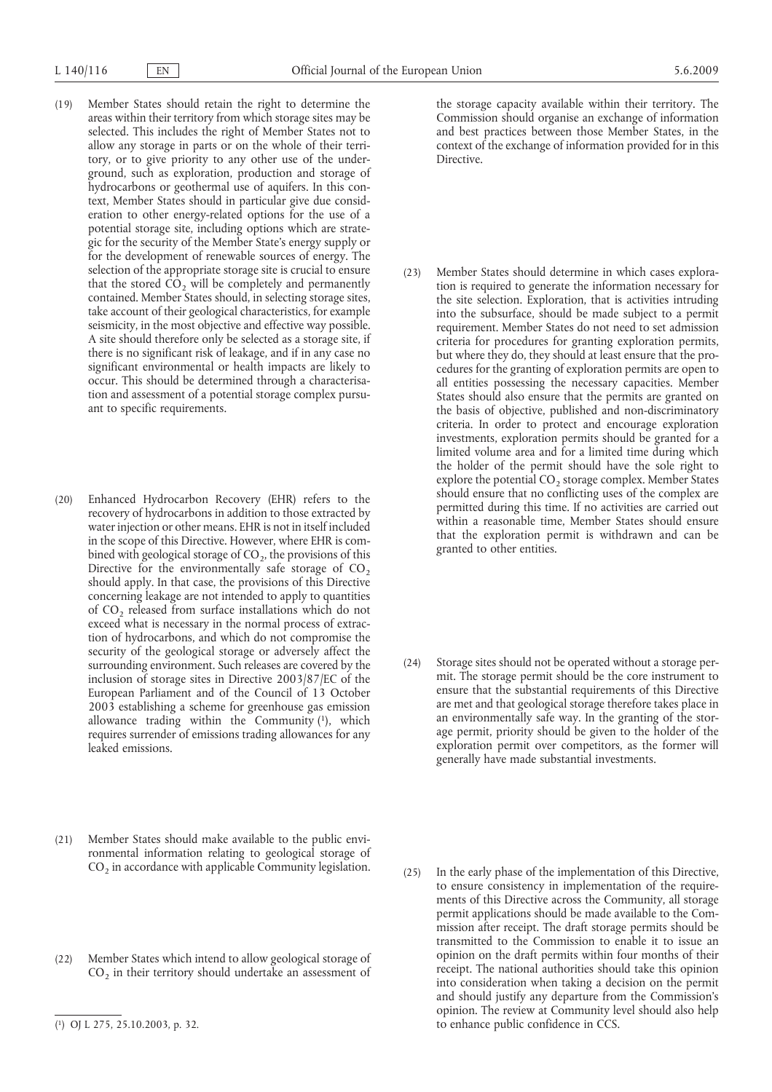- (19) Member States should retain the right to determine the areas within their territory from which storage sites may be selected. This includes the right of Member States not to allow any storage in parts or on the whole of their territory, or to give priority to any other use of the underground, such as exploration, production and storage of hydrocarbons or geothermal use of aquifers. In this context, Member States should in particular give due consideration to other energy-related options for the use of a potential storage site, including options which are strategic for the security of the Member State's energy supply or for the development of renewable sources of energy. The selection of the appropriate storage site is crucial to ensure that the stored  $CO<sub>2</sub>$  will be completely and permanently contained. Member States should, in selecting storage sites, take account of their geological characteristics, for example seismicity, in the most objective and effective way possible. A site should therefore only be selected as a storage site, if there is no significant risk of leakage, and if in any case no significant environmental or health impacts are likely to occur. This should be determined through a characterisation and assessment of a potential storage complex pursuant to specific requirements.
- allowance trading within the Community (1), which (20) Enhanced Hydrocarbon Recovery (EHR) refers to the recovery of hydrocarbons in addition to those extracted by water injection or other means. EHR is not in itself included in the scope of this Directive. However, where EHR is combined with geological storage of  $CO<sub>2</sub>$ , the provisions of this Directive for the environmentally safe storage of  $CO<sub>2</sub>$ should apply. In that case, the provisions of this Directive concerning leakage are not intended to apply to quantities of CO<sub>2</sub> released from surface installations which do not exceed what is necessary in the normal process of extraction of hydrocarbons, and which do not compromise the security of the geological storage or adversely affect the surrounding environment. Such releases are covered by the inclusion of storage sites in Directive 2003/87/EC of the European Parliament and of the Council of 13 October 2003 establishing a scheme for greenhouse gas emission requires surrender of emissions trading allowances for any leaked emissions.
- (21) Member States should make available to the public environmental information relating to geological storage of  $CO<sub>2</sub>$  in accordance with applicable Community legislation.
- (22) Member States which intend to allow geological storage of  $CO<sub>2</sub>$  in their territory should undertake an assessment of

the storage capacity available within their territory. The Commission should organise an exchange of information and best practices between those Member States, in the context of the exchange of information provided for in this Directive.

- (23) Member States should determine in which cases exploration is required to generate the information necessary for the site selection. Exploration, that is activities intruding into the subsurface, should be made subject to a permit requirement. Member States do not need to set admission criteria for procedures for granting exploration permits, but where they do, they should at least ensure that the procedures for the granting of exploration permits are open to all entities possessing the necessary capacities. Member States should also ensure that the permits are granted on the basis of objective, published and non-discriminatory criteria. In order to protect and encourage exploration investments, exploration permits should be granted for a limited volume area and for a limited time during which the holder of the permit should have the sole right to explore the potential  $CO<sub>2</sub>$  storage complex. Member States should ensure that no conflicting uses of the complex are permitted during this time. If no activities are carried out within a reasonable time, Member States should ensure that the exploration permit is withdrawn and can be granted to other entities.
- (24) Storage sites should not be operated without a storage permit. The storage permit should be the core instrument to ensure that the substantial requirements of this Directive are met and that geological storage therefore takes place in an environmentally safe way. In the granting of the storage permit, priority should be given to the holder of the exploration permit over competitors, as the former will generally have made substantial investments.
- (25) In the early phase of the implementation of this Directive, to ensure consistency in implementation of the requirements of this Directive across the Community, all storage permit applications should be made available to the Commission after receipt. The draft storage permits should be transmitted to the Commission to enable it to issue an opinion on the draft permits within four months of their receipt. The national authorities should take this opinion into consideration when taking a decision on the permit and should justify any departure from the Commission's opinion. The review at Community level should also help to enhance public confidence in CCS.

<sup>(</sup> 1) [OJ L 275, 25.10.2003, p. 32.](http://eur-lex.europa.eu/LexUriServ/LexUriServ.do?uri=OJ:L:2003:275:0032:0032:EN:PDF)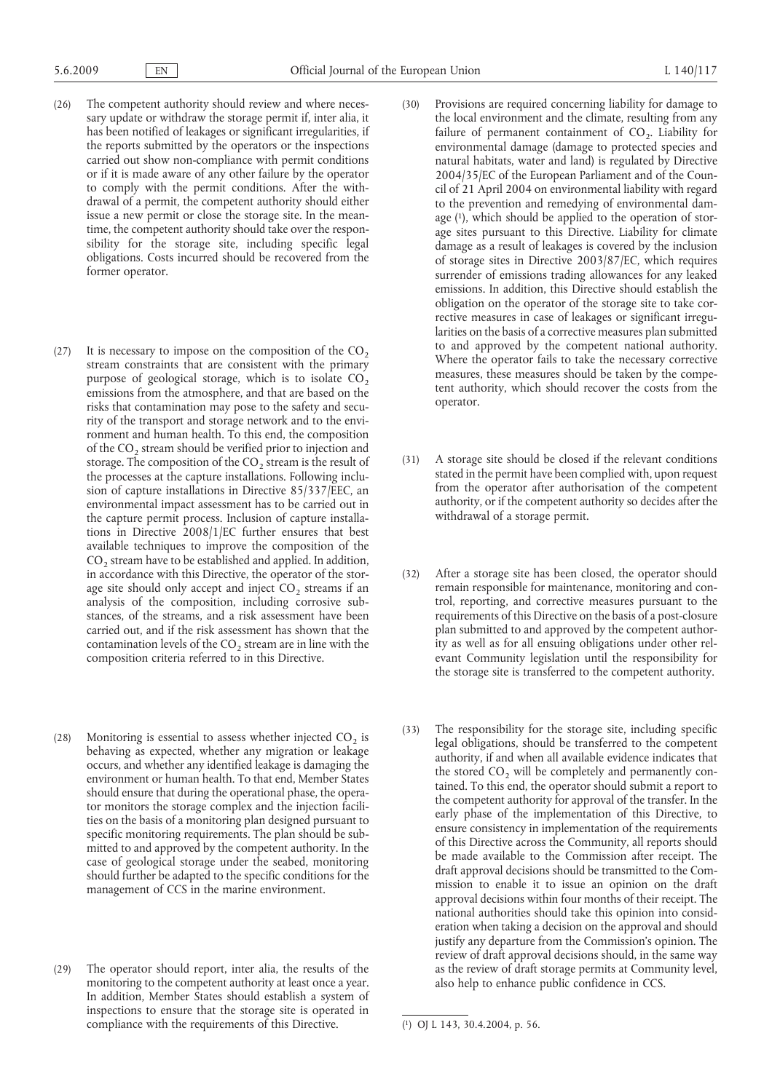- (26) The competent authority should review and where necessary update or withdraw the storage permit if, inter alia, it has been notified of leakages or significant irregularities, if the reports submitted by the operators or the inspections carried out show non-compliance with permit conditions or if it is made aware of any other failure by the operator to comply with the permit conditions. After the withdrawal of a permit, the competent authority should either issue a new permit or close the storage site. In the meantime, the competent authority should take over the responsibility for the storage site, including specific legal obligations. Costs incurred should be recovered from the former operator.
- (27) It is necessary to impose on the composition of the  $CO<sub>2</sub>$ stream constraints that are consistent with the primary purpose of geological storage, which is to isolate  $CO<sub>2</sub>$ emissions from the atmosphere, and that are based on the risks that contamination may pose to the safety and security of the transport and storage network and to the environment and human health. To this end, the composition of the CO<sub>2</sub> stream should be verified prior to injection and storage. The composition of the  $CO<sub>2</sub>$  stream is the result of the processes at the capture installations. Following inclusion of capture installations in Directive 85/337/EEC, an environmental impact assessment has to be carried out in the capture permit process. Inclusion of capture installations in Directive 2008/1/EC further ensures that best available techniques to improve the composition of the  $CO<sub>2</sub>$  stream have to be established and applied. In addition, in accordance with this Directive, the operator of the storage site should only accept and inject  $CO<sub>2</sub>$  streams if an analysis of the composition, including corrosive substances, of the streams, and a risk assessment have been carried out, and if the risk assessment has shown that the contamination levels of the  $CO<sub>2</sub>$  stream are in line with the composition criteria referred to in this Directive.
- (28) Monitoring is essential to assess whether injected  $CO<sub>2</sub>$  is behaving as expected, whether any migration or leakage occurs, and whether any identified leakage is damaging the environment or human health. To that end, Member States should ensure that during the operational phase, the operator monitors the storage complex and the injection facilities on the basis of a monitoring plan designed pursuant to specific monitoring requirements. The plan should be submitted to and approved by the competent authority. In the case of geological storage under the seabed, monitoring should further be adapted to the specific conditions for the management of CCS in the marine environment.
- (29) The operator should report, inter alia, the results of the monitoring to the competent authority at least once a year. In addition, Member States should establish a system of inspections to ensure that the storage site is operated in compliance with the requirements of this Directive.
- age (1), which should be applied to the operation of stor-(30) Provisions are required concerning liability for damage to the local environment and the climate, resulting from any failure of permanent containment of  $CO<sub>2</sub>$ . Liability for environmental damage (damage to protected species and natural habitats, water and land) is regulated by Directive 2004/35/EC of the European Parliament and of the Council of 21 April 2004 on environmental liability with regard to the prevention and remedying of environmental damage sites pursuant to this Directive. Liability for climate damage as a result of leakages is covered by the inclusion of storage sites in Directive 2003/87/EC, which requires surrender of emissions trading allowances for any leaked emissions. In addition, this Directive should establish the obligation on the operator of the storage site to take corrective measures in case of leakages or significant irregularities on the basis of a corrective measures plan submitted to and approved by the competent national authority. Where the operator fails to take the necessary corrective measures, these measures should be taken by the competent authority, which should recover the costs from the operator.
- (31) A storage site should be closed if the relevant conditions stated in the permit have been complied with, upon request from the operator after authorisation of the competent authority, or if the competent authority so decides after the withdrawal of a storage permit.
- (32) After a storage site has been closed, the operator should remain responsible for maintenance, monitoring and control, reporting, and corrective measures pursuant to the requirements of this Directive on the basis of a post-closure plan submitted to and approved by the competent authority as well as for all ensuing obligations under other relevant Community legislation until the responsibility for the storage site is transferred to the competent authority.
- (33) The responsibility for the storage site, including specific legal obligations, should be transferred to the competent authority, if and when all available evidence indicates that the stored  $CO<sub>2</sub>$  will be completely and permanently contained. To this end, the operator should submit a report to the competent authority for approval of the transfer. In the early phase of the implementation of this Directive, to ensure consistency in implementation of the requirements of this Directive across the Community, all reports should be made available to the Commission after receipt. The draft approval decisions should be transmitted to the Commission to enable it to issue an opinion on the draft approval decisions within four months of their receipt. The national authorities should take this opinion into consideration when taking a decision on the approval and should justify any departure from the Commission's opinion. The review of draft approval decisions should, in the same way as the review of draft storage permits at Community level, also help to enhance public confidence in CCS.

<sup>(</sup> 1) [OJ L 143, 30.4.2004, p. 56.](http://eur-lex.europa.eu/LexUriServ/LexUriServ.do?uri=OJ:L:2004:143:0056:0056:EN:PDF)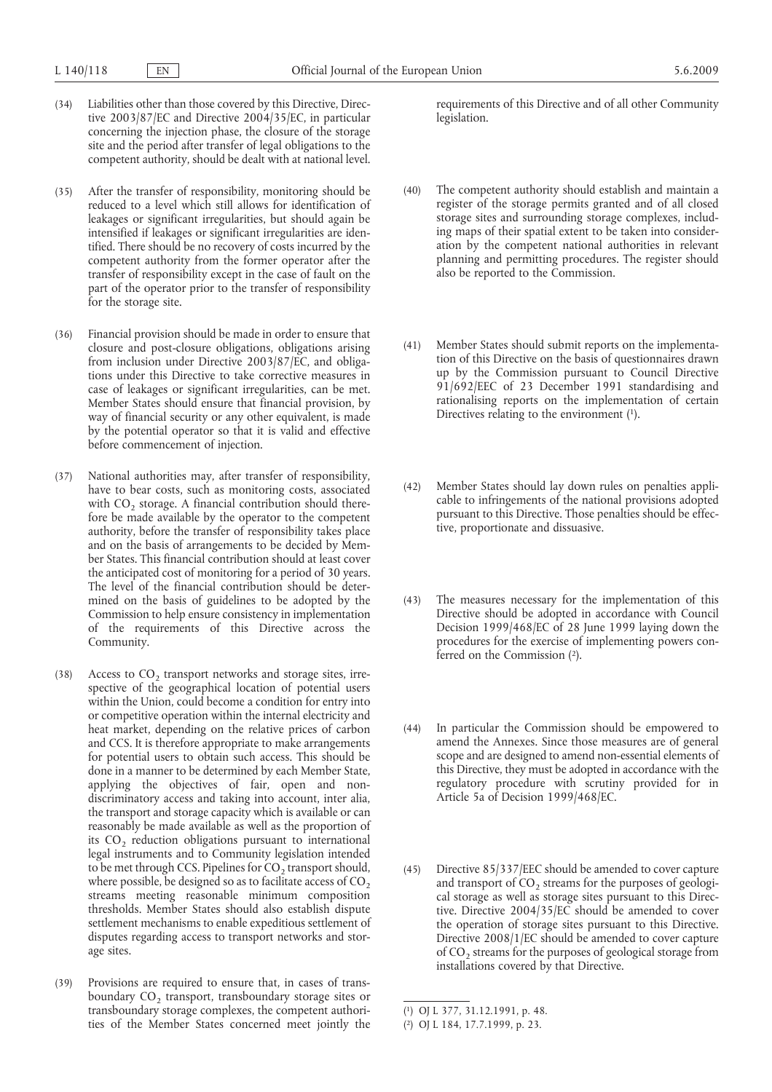- (34) Liabilities other than those covered by this Directive, Directive 2003/87/EC and Directive 2004/35/EC, in particular concerning the injection phase, the closure of the storage site and the period after transfer of legal obligations to the competent authority, should be dealt with at national level.
- (35) After the transfer of responsibility, monitoring should be reduced to a level which still allows for identification of leakages or significant irregularities, but should again be intensified if leakages or significant irregularities are identified. There should be no recovery of costs incurred by the competent authority from the former operator after the transfer of responsibility except in the case of fault on the part of the operator prior to the transfer of responsibility for the storage site.
- (36) Financial provision should be made in order to ensure that closure and post-closure obligations, obligations arising from inclusion under Directive 2003/87/EC, and obligations under this Directive to take corrective measures in case of leakages or significant irregularities, can be met. Member States should ensure that financial provision, by way of financial security or any other equivalent, is made by the potential operator so that it is valid and effective before commencement of injection.
- (37) National authorities may, after transfer of responsibility, have to bear costs, such as monitoring costs, associated with CO<sub>2</sub> storage. A financial contribution should therefore be made available by the operator to the competent authority, before the transfer of responsibility takes place and on the basis of arrangements to be decided by Member States. This financial contribution should at least cover the anticipated cost of monitoring for a period of 30 years. The level of the financial contribution should be determined on the basis of guidelines to be adopted by the Commission to help ensure consistency in implementation of the requirements of this Directive across the Community.
- (38) Access to  $CO<sub>2</sub>$  transport networks and storage sites, irrespective of the geographical location of potential users within the Union, could become a condition for entry into or competitive operation within the internal electricity and heat market, depending on the relative prices of carbon and CCS. It is therefore appropriate to make arrangements for potential users to obtain such access. This should be done in a manner to be determined by each Member State, applying the objectives of fair, open and nondiscriminatory access and taking into account, inter alia, the transport and storage capacity which is available or can reasonably be made available as well as the proportion of its  $CO<sub>2</sub>$  reduction obligations pursuant to international legal instruments and to Community legislation intended to be met through CCS. Pipelines for  $CO<sub>2</sub>$  transport should, where possible, be designed so as to facilitate access of  $CO<sub>2</sub>$ streams meeting reasonable minimum composition thresholds. Member States should also establish dispute settlement mechanisms to enable expeditious settlement of disputes regarding access to transport networks and storage sites.
- (39) Provisions are required to ensure that, in cases of transboundary CO<sub>2</sub> transport, transboundary storage sites or transboundary storage complexes, the competent authorities of the Member States concerned meet jointly the

requirements of this Directive and of all other Community legislation.

- (40) The competent authority should establish and maintain a register of the storage permits granted and of all closed storage sites and surrounding storage complexes, including maps of their spatial extent to be taken into consideration by the competent national authorities in relevant planning and permitting procedures. The register should also be reported to the Commission.
- Directives relating to the environment (1). (41) Member States should submit reports on the implementation of this Directive on the basis of questionnaires drawn up by the Commission pursuant to Council Directive 91/692/EEC of 23 December 1991 standardising and rationalising reports on the implementation of certain
- (42) Member States should lay down rules on penalties applicable to infringements of the national provisions adopted pursuant to this Directive. Those penalties should be effective, proportionate and dissuasive.
- ferred on the Commission (2). (43) The measures necessary for the implementation of this Directive should be adopted in accordance with Council Decision 1999/468/EC of 28 June 1999 laying down the procedures for the exercise of implementing powers con-
- (44) In particular the Commission should be empowered to amend the Annexes. Since those measures are of general scope and are designed to amend non-essential elements of this Directive, they must be adopted in accordance with the regulatory procedure with scrutiny provided for in Article 5a of Decision 1999/468/EC.
- (45) Directive 85/337/EEC should be amended to cover capture and transport of  $CO<sub>2</sub>$  streams for the purposes of geological storage as well as storage sites pursuant to this Directive. Directive 2004/35/EC should be amended to cover the operation of storage sites pursuant to this Directive. Directive 2008/1/EC should be amended to cover capture of CO<sub>2</sub> streams for the purposes of geological storage from installations covered by that Directive.

<sup>(</sup> 1) [OJ L 377, 31.12.1991, p. 48.](http://eur-lex.europa.eu/Result.do?aaaa=1991&mm=12&jj=31&type=L&nnn=377&pppp=0048&RechType=RECH_reference_pub&Submit=Search)

<sup>(</sup> 2) [OJ L 184, 17.7.1999, p. 23.](http://eur-lex.europa.eu/LexUriServ/LexUriServ.do?uri=OJ:L:1999:184:0023:0023:EN:PDF)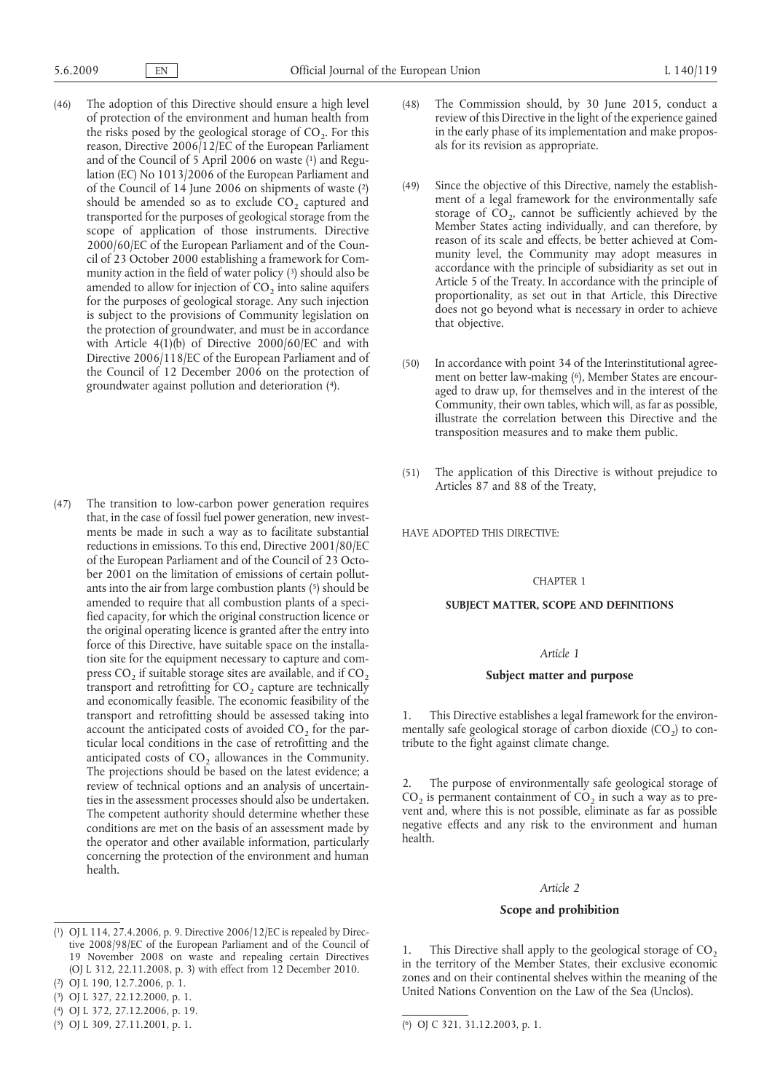- and of the Council of 5 April 2006 on waste (1) and Reguof the Council of 14 June 2006 on shipments of waste (2) munity action in the field of water policy (3) should also be groundwater against pollution and deterioration (4). (46) The adoption of this Directive should ensure a high level of protection of the environment and human health from the risks posed by the geological storage of  $CO<sub>2</sub>$ . For this reason, Directive 2006/12/EC of the European Parliament lation (EC) No 1013/2006 of the European Parliament and should be amended so as to exclude  $CO<sub>2</sub>$  captured and transported for the purposes of geological storage from the scope of application of those instruments. Directive 2000/60/EC of the European Parliament and of the Council of 23 October 2000 establishing a framework for Comamended to allow for injection of  $CO<sub>2</sub>$  into saline aquifers for the purposes of geological storage. Any such injection is subject to the provisions of Community legislation on the protection of groundwater, and must be in accordance with Article 4(1)(b) of Directive 2000/60/EC and with Directive 2006/118/EC of the European Parliament and of the Council of 12 December 2006 on the protection of
- ants into the air from large combustion plants (5) should be (47) The transition to low-carbon power generation requires that, in the case of fossil fuel power generation, new investments be made in such a way as to facilitate substantial reductions in emissions. To this end, Directive 2001/80/EC of the European Parliament and of the Council of 23 October 2001 on the limitation of emissions of certain pollutamended to require that all combustion plants of a specified capacity, for which the original construction licence or the original operating licence is granted after the entry into force of this Directive, have suitable space on the installation site for the equipment necessary to capture and compress  $CO<sub>2</sub>$  if suitable storage sites are available, and if  $CO<sub>2</sub>$ transport and retrofitting for  $CO<sub>2</sub>$  capture are technically and economically feasible. The economic feasibility of the transport and retrofitting should be assessed taking into account the anticipated costs of avoided  $CO<sub>2</sub>$  for the particular local conditions in the case of retrofitting and the anticipated costs of  $CO<sub>2</sub>$  allowances in the Community. The projections should be based on the latest evidence; a review of technical options and an analysis of uncertainties in the assessment processes should also be undertaken. The competent authority should determine whether these conditions are met on the basis of an assessment made by the operator and other available information, particularly concerning the protection of the environment and human health.
- (48) The Commission should, by 30 June 2015, conduct a review of this Directive in the light of the experience gained in the early phase of its implementation and make proposals for its revision as appropriate.
- (49) Since the objective of this Directive, namely the establishment of a legal framework for the environmentally safe storage of  $CO<sub>2</sub>$ , cannot be sufficiently achieved by the Member States acting individually, and can therefore, by reason of its scale and effects, be better achieved at Community level, the Community may adopt measures in accordance with the principle of subsidiarity as set out in Article 5 of the Treaty. In accordance with the principle of proportionality, as set out in that Article, this Directive does not go beyond what is necessary in order to achieve that objective.
- ment on better law-making (6), Member States are encour-(50) In accordance with point 34 of the Interinstitutional agreeaged to draw up, for themselves and in the interest of the Community, their own tables, which will, as far as possible, illustrate the correlation between this Directive and the transposition measures and to make them public.
- (51) The application of this Directive is without prejudice to Articles 87 and 88 of the Treaty,

HAVE ADOPTED THIS DIRECTIVE:

### CHAPTER 1

## **SUBJECT MATTER, SCOPE AND DEFINITIONS**

#### *Article 1*

## **Subject matter and purpose**

1. This Directive establishes a legal framework for the environmentally safe geological storage of carbon dioxide  $(CO<sub>2</sub>)$  to contribute to the fight against climate change.

The purpose of environmentally safe geological storage of  $CO<sub>2</sub>$  is permanent containment of  $CO<sub>2</sub>$  in such a way as to prevent and, where this is not possible, eliminate as far as possible negative effects and any risk to the environment and human health.

#### *Article 2*

### **Scope and prohibition**

1. This Directive shall apply to the geological storage of  $CO<sub>2</sub>$ in the territory of the Member States, their exclusive economic zones and on their continental shelves within the meaning of the United Nations Convention on the Law of the Sea (Unclos).

<sup>(</sup> 1) [OJ L 114, 27.4.2006, p. 9.](http://eur-lex.europa.eu/LexUriServ/LexUriServ.do?uri=OJ:L:2006:114:0009:0009:EN:PDF) Directive 2006/12/EC is repealed by Directive 2008/98/EC of the European Parliament and of the Council of 19 November 2008 on waste and repealing certain Directives [\(OJ L 312, 22.11.2008, p. 3\)](http://eur-lex.europa.eu/LexUriServ/LexUriServ.do?uri=OJ:L:2008:312:0003:0003:EN:PDF) with effect from 12 December 2010.

<sup>(</sup> 2) [OJ L 190, 12.7.2006, p. 1.](http://eur-lex.europa.eu/LexUriServ/LexUriServ.do?uri=OJ:L:2006:190:0001:0001:EN:PDF)

<sup>(</sup> 3) [OJ L 327, 22.12.2000, p. 1.](http://eur-lex.europa.eu/LexUriServ/LexUriServ.do?uri=OJ:L:2000:327:0001:0001:EN:PDF)

<sup>(</sup> 4) [OJ L 372, 27.12.2006, p. 19.](http://eur-lex.europa.eu/LexUriServ/LexUriServ.do?uri=OJ:L:2006:372:0019:0019:EN:PDF)

<sup>(</sup> 5) [OJ L 309, 27.11.2001, p. 1.](http://eur-lex.europa.eu/LexUriServ/LexUriServ.do?uri=OJ:L:2001:309:0001:0001:EN:PDF)

<sup>(</sup> 6) [OJ C 321, 31.12.2003, p. 1.](http://eur-lex.europa.eu/LexUriServ/LexUriServ.do?uri=OJ:C:2003:321:0001:0001:EN:PDF)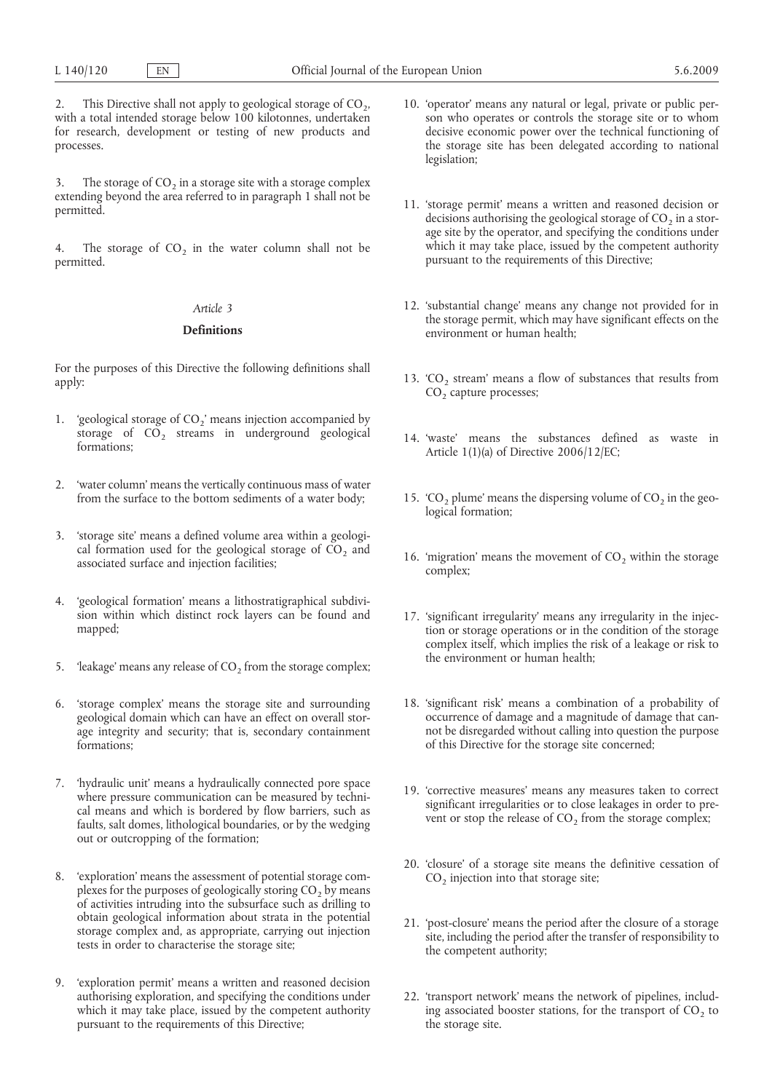2. This Directive shall not apply to geological storage of  $CO<sub>2</sub>$ , with a total intended storage below 100 kilotonnes, undertaken for research, development or testing of new products and processes.

3. The storage of  $CO<sub>2</sub>$  in a storage site with a storage complex extending beyond the area referred to in paragraph 1 shall not be permitted.

4. The storage of  $CO<sub>2</sub>$  in the water column shall not be permitted.

# *Article 3*

#### **Definitions**

For the purposes of this Directive the following definitions shall apply:

- 1. 'geological storage of  $CO_2$ ' means injection accompanied by storage of  $CO<sub>2</sub>$  streams in underground geological formations;
- 2. 'water column' means the vertically continuous mass of water from the surface to the bottom sediments of a water body;
- 3. 'storage site' means a defined volume area within a geological formation used for the geological storage of  $CO<sub>2</sub>$  and associated surface and injection facilities;
- 4. 'geological formation' means a lithostratigraphical subdivision within which distinct rock layers can be found and mapped;
- 5. 'leakage' means any release of  $CO<sub>2</sub>$  from the storage complex;
- 6. 'storage complex' means the storage site and surrounding geological domain which can have an effect on overall storage integrity and security; that is, secondary containment formations;
- 7. 'hydraulic unit' means a hydraulically connected pore space where pressure communication can be measured by technical means and which is bordered by flow barriers, such as faults, salt domes, lithological boundaries, or by the wedging out or outcropping of the formation;
- 8. 'exploration' means the assessment of potential storage complexes for the purposes of geologically storing  $CO<sub>2</sub>$  by means of activities intruding into the subsurface such as drilling to obtain geological information about strata in the potential storage complex and, as appropriate, carrying out injection tests in order to characterise the storage site;
- 9. 'exploration permit' means a written and reasoned decision authorising exploration, and specifying the conditions under which it may take place, issued by the competent authority pursuant to the requirements of this Directive;
- 10. 'operator' means any natural or legal, private or public person who operates or controls the storage site or to whom decisive economic power over the technical functioning of the storage site has been delegated according to national legislation;
- 11. 'storage permit' means a written and reasoned decision or decisions authorising the geological storage of  $CO<sub>2</sub>$  in a storage site by the operator, and specifying the conditions under which it may take place, issued by the competent authority pursuant to the requirements of this Directive;
- 12. 'substantial change' means any change not provided for in the storage permit, which may have significant effects on the environment or human health;
- 13. 'CO<sub>2</sub> stream' means a flow of substances that results from CO<sub>2</sub> capture processes;
- 14. 'waste' means the substances defined as waste in Article 1(1)(a) of Directive 2006/12/EC;
- 15. 'CO<sub>2</sub> plume' means the dispersing volume of  $CO<sub>2</sub>$  in the geological formation;
- 16. 'migration' means the movement of  $CO<sub>2</sub>$  within the storage complex;
- 17. 'significant irregularity' means any irregularity in the injection or storage operations or in the condition of the storage complex itself, which implies the risk of a leakage or risk to the environment or human health;
- 18. 'significant risk' means a combination of a probability of occurrence of damage and a magnitude of damage that cannot be disregarded without calling into question the purpose of this Directive for the storage site concerned;
- 19. 'corrective measures' means any measures taken to correct significant irregularities or to close leakages in order to prevent or stop the release of  $CO<sub>2</sub>$  from the storage complex;
- 20. 'closure' of a storage site means the definitive cessation of  $CO<sub>2</sub>$  injection into that storage site;
- 21. 'post-closure' means the period after the closure of a storage site, including the period after the transfer of responsibility to the competent authority;
- 22. 'transport network' means the network of pipelines, including associated booster stations, for the transport of  $CO<sub>2</sub>$  to the storage site.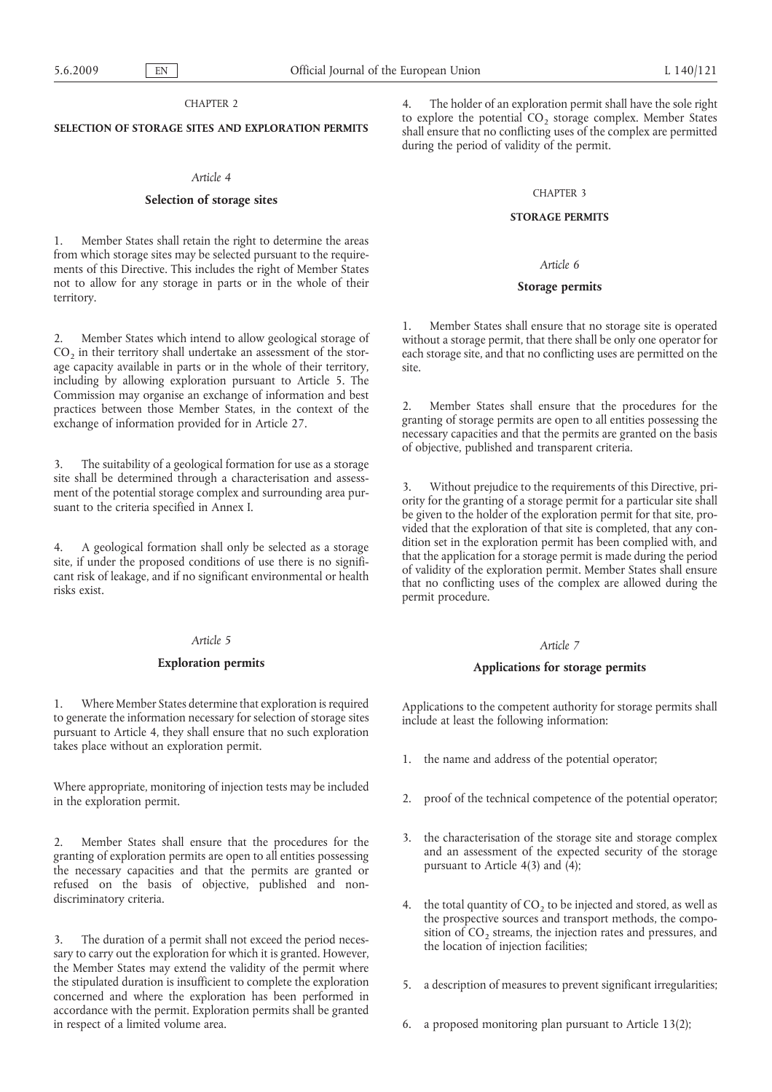### CHAPTER 2

## **SELECTION OF STORAGE SITES AND EXPLORATION PERMITS**

# *Article 4*

## **Selection of storage sites**

1. Member States shall retain the right to determine the areas from which storage sites may be selected pursuant to the requirements of this Directive. This includes the right of Member States not to allow for any storage in parts or in the whole of their territory.

Member States which intend to allow geological storage of  $CO<sub>2</sub>$  in their territory shall undertake an assessment of the storage capacity available in parts or in the whole of their territory, including by allowing exploration pursuant to Article 5. The Commission may organise an exchange of information and best practices between those Member States, in the context of the exchange of information provided for in Article 27.

3. The suitability of a geological formation for use as a storage site shall be determined through a characterisation and assessment of the potential storage complex and surrounding area pursuant to the criteria specified in Annex I.

4. A geological formation shall only be selected as a storage site, if under the proposed conditions of use there is no significant risk of leakage, and if no significant environmental or health risks exist.

### *Article 5*

### **Exploration permits**

1. Where Member States determine that exploration is required to generate the information necessary for selection of storage sites pursuant to Article 4, they shall ensure that no such exploration takes place without an exploration permit.

Where appropriate, monitoring of injection tests may be included in the exploration permit.

2. Member States shall ensure that the procedures for the granting of exploration permits are open to all entities possessing the necessary capacities and that the permits are granted or refused on the basis of objective, published and nondiscriminatory criteria.

3. The duration of a permit shall not exceed the period necessary to carry out the exploration for which it is granted. However, the Member States may extend the validity of the permit where the stipulated duration is insufficient to complete the exploration concerned and where the exploration has been performed in accordance with the permit. Exploration permits shall be granted in respect of a limited volume area.

4. The holder of an exploration permit shall have the sole right to explore the potential  $CO<sub>2</sub>$  storage complex. Member States shall ensure that no conflicting uses of the complex are permitted during the period of validity of the permit.

### CHAPTER 3

#### **STORAGE PERMITS**

### *Article 6*

#### **Storage permits**

Member States shall ensure that no storage site is operated without a storage permit, that there shall be only one operator for each storage site, and that no conflicting uses are permitted on the site.

2. Member States shall ensure that the procedures for the granting of storage permits are open to all entities possessing the necessary capacities and that the permits are granted on the basis of objective, published and transparent criteria.

3. Without prejudice to the requirements of this Directive, priority for the granting of a storage permit for a particular site shall be given to the holder of the exploration permit for that site, provided that the exploration of that site is completed, that any condition set in the exploration permit has been complied with, and that the application for a storage permit is made during the period of validity of the exploration permit. Member States shall ensure that no conflicting uses of the complex are allowed during the permit procedure.

# *Article 7*

### **Applications for storage permits**

Applications to the competent authority for storage permits shall include at least the following information:

- 1. the name and address of the potential operator;
- 2. proof of the technical competence of the potential operator;
- 3. the characterisation of the storage site and storage complex and an assessment of the expected security of the storage pursuant to Article 4(3) and (4);
- 4. the total quantity of  $CO<sub>2</sub>$  to be injected and stored, as well as the prospective sources and transport methods, the composition of  $CO<sub>2</sub>$  streams, the injection rates and pressures, and the location of injection facilities;
- 5. a description of measures to prevent significant irregularities;
- 6. a proposed monitoring plan pursuant to Article 13(2);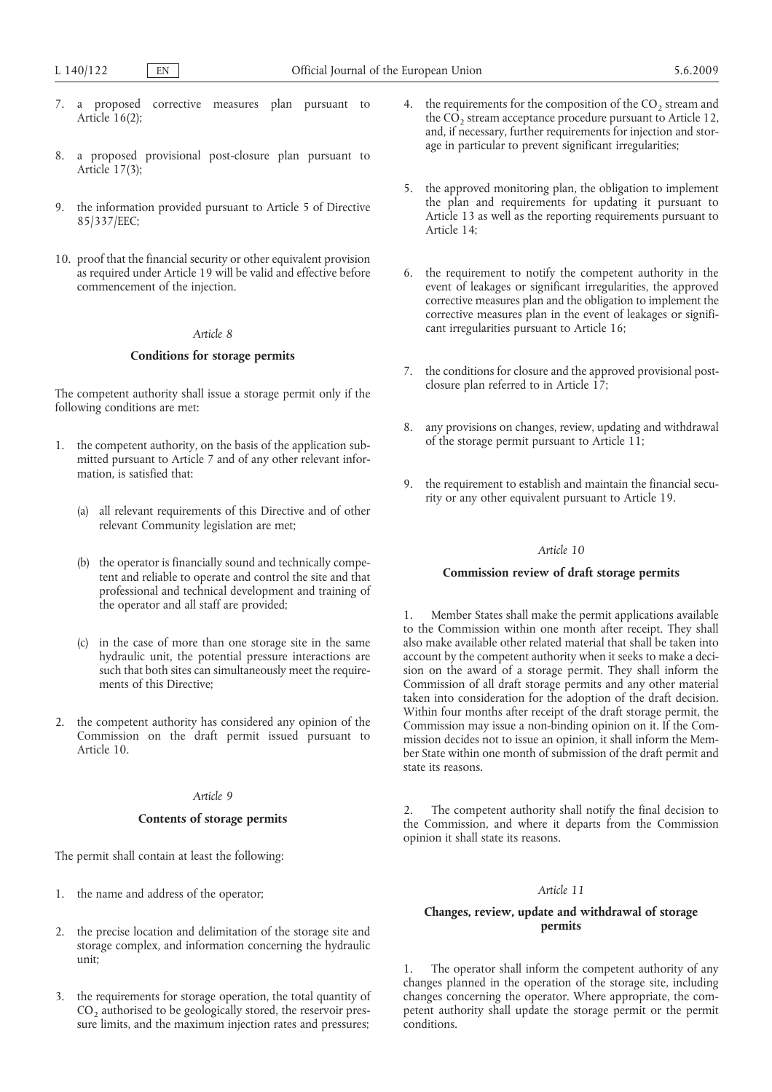- 7. a proposed corrective measures plan pursuant to Article  $16(2)$ ;
- 8. a proposed provisional post-closure plan pursuant to Article 17(3);
- 9. the information provided pursuant to Article 5 of Directive 85/337/EEC;
- 10. proof that the financial security or other equivalent provision as required under Article 19 will be valid and effective before commencement of the injection.

# *Article 8*

### **Conditions for storage permits**

The competent authority shall issue a storage permit only if the following conditions are met:

- 1. the competent authority, on the basis of the application submitted pursuant to Article 7 and of any other relevant information, is satisfied that:
	- (a) all relevant requirements of this Directive and of other relevant Community legislation are met;
	- (b) the operator is financially sound and technically competent and reliable to operate and control the site and that professional and technical development and training of the operator and all staff are provided;
	- (c) in the case of more than one storage site in the same hydraulic unit, the potential pressure interactions are such that both sites can simultaneously meet the requirements of this Directive;
- 2. the competent authority has considered any opinion of the Commission on the draft permit issued pursuant to Article 10.

# *Article 9*

# **Contents of storage permits**

The permit shall contain at least the following:

- 1. the name and address of the operator;
- 2. the precise location and delimitation of the storage site and storage complex, and information concerning the hydraulic unit;
- 3. the requirements for storage operation, the total quantity of  $CO<sub>2</sub>$  authorised to be geologically stored, the reservoir pressure limits, and the maximum injection rates and pressures;
- 4. the requirements for the composition of the  $CO<sub>2</sub>$  stream and the  $CO<sub>2</sub>$  stream acceptance procedure pursuant to Article 12, and, if necessary, further requirements for injection and storage in particular to prevent significant irregularities;
- 5. the approved monitoring plan, the obligation to implement the plan and requirements for updating it pursuant to Article 13 as well as the reporting requirements pursuant to Article 14;
- 6. the requirement to notify the competent authority in the event of leakages or significant irregularities, the approved corrective measures plan and the obligation to implement the corrective measures plan in the event of leakages or significant irregularities pursuant to Article 16;
- 7. the conditions for closure and the approved provisional postclosure plan referred to in Article 17;
- 8. any provisions on changes, review, updating and withdrawal of the storage permit pursuant to Article 11;
- 9. the requirement to establish and maintain the financial security or any other equivalent pursuant to Article 19.

# *Article 10*

# **Commission review of draft storage permits**

1. Member States shall make the permit applications available to the Commission within one month after receipt. They shall also make available other related material that shall be taken into account by the competent authority when it seeks to make a decision on the award of a storage permit. They shall inform the Commission of all draft storage permits and any other material taken into consideration for the adoption of the draft decision. Within four months after receipt of the draft storage permit, the Commission may issue a non-binding opinion on it. If the Commission decides not to issue an opinion, it shall inform the Member State within one month of submission of the draft permit and state its reasons.

2. The competent authority shall notify the final decision to the Commission, and where it departs from the Commission opinion it shall state its reasons.

## *Article 11*

# **Changes, review, update and withdrawal of storage permits**

1. The operator shall inform the competent authority of any changes planned in the operation of the storage site, including changes concerning the operator. Where appropriate, the competent authority shall update the storage permit or the permit conditions.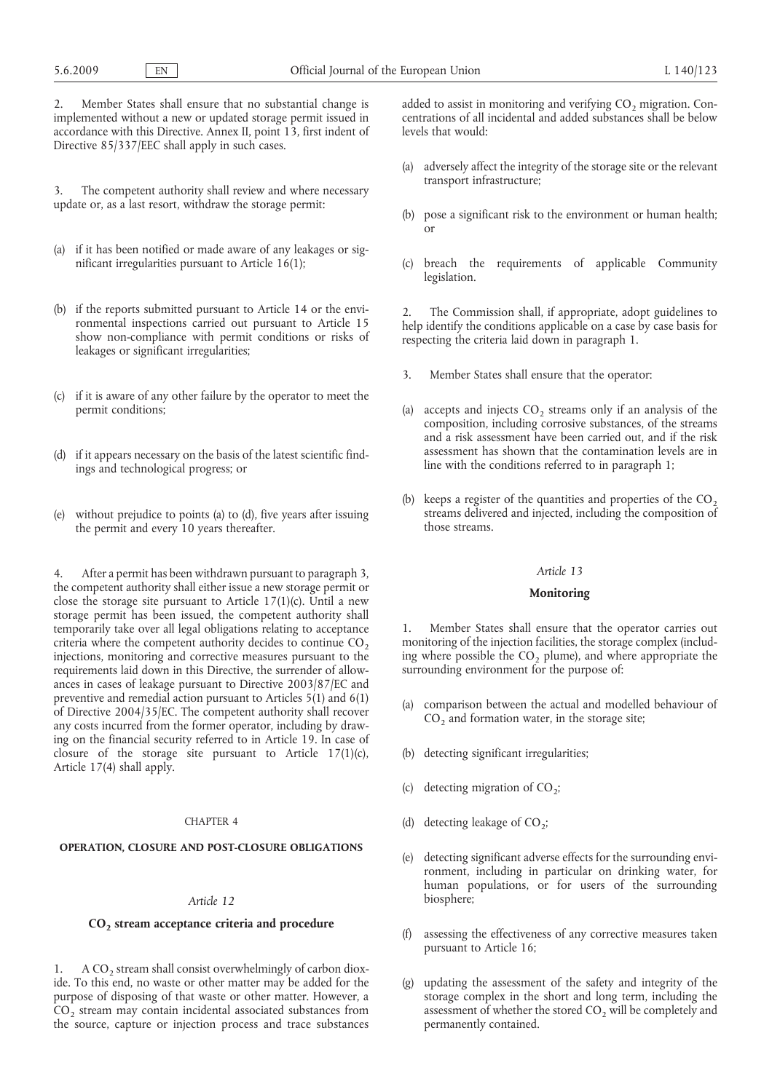2. Member States shall ensure that no substantial change is implemented without a new or updated storage permit issued in accordance with this Directive. Annex II, point 13, first indent of Directive 85/337/EEC shall apply in such cases.

3. The competent authority shall review and where necessary update or, as a last resort, withdraw the storage permit:

- (a) if it has been notified or made aware of any leakages or significant irregularities pursuant to Article 16(1);
- (b) if the reports submitted pursuant to Article 14 or the environmental inspections carried out pursuant to Article 15 show non-compliance with permit conditions or risks of leakages or significant irregularities;
- (c) if it is aware of any other failure by the operator to meet the permit conditions;
- (d) if it appears necessary on the basis of the latest scientific findings and technological progress; or
- (e) without prejudice to points (a) to (d), five years after issuing the permit and every 10 years thereafter.

After a permit has been withdrawn pursuant to paragraph 3, the competent authority shall either issue a new storage permit or close the storage site pursuant to Article 17(1)(c). Until a new storage permit has been issued, the competent authority shall temporarily take over all legal obligations relating to acceptance criteria where the competent authority decides to continue  $CO<sub>2</sub>$ injections, monitoring and corrective measures pursuant to the requirements laid down in this Directive, the surrender of allowances in cases of leakage pursuant to Directive 2003/87/EC and preventive and remedial action pursuant to Articles 5(1) and 6(1) of Directive 2004/35/EC. The competent authority shall recover any costs incurred from the former operator, including by drawing on the financial security referred to in Article 19. In case of closure of the storage site pursuant to Article  $17(1)(c)$ , Article 17(4) shall apply.

## CHAPTER 4

### **OPERATION, CLOSURE AND POST-CLOSURE OBLIGATIONS**

# *Article 12*

# **CO2 stream acceptance criteria and procedure**

1. A  $CO<sub>2</sub>$  stream shall consist overwhelmingly of carbon dioxide. To this end, no waste or other matter may be added for the purpose of disposing of that waste or other matter. However, a  $CO<sub>2</sub>$  stream may contain incidental associated substances from the source, capture or injection process and trace substances added to assist in monitoring and verifying  $CO<sub>2</sub>$  migration. Concentrations of all incidental and added substances shall be below levels that would:

- (a) adversely affect the integrity of the storage site or the relevant transport infrastructure;
- (b) pose a significant risk to the environment or human health; or
- (c) breach the requirements of applicable Community legislation.

The Commission shall, if appropriate, adopt guidelines to help identify the conditions applicable on a case by case basis for respecting the criteria laid down in paragraph 1.

- 3. Member States shall ensure that the operator:
- (a) accepts and injects  $CO<sub>2</sub>$  streams only if an analysis of the composition, including corrosive substances, of the streams and a risk assessment have been carried out, and if the risk assessment has shown that the contamination levels are in line with the conditions referred to in paragraph 1;
- (b) keeps a register of the quantities and properties of the  $CO<sub>2</sub>$ streams delivered and injected, including the composition of those streams.

#### *Article 13*

## **Monitoring**

1. Member States shall ensure that the operator carries out monitoring of the injection facilities, the storage complex (including where possible the  $CO<sub>2</sub>$  plume), and where appropriate the surrounding environment for the purpose of:

- (a) comparison between the actual and modelled behaviour of  $CO<sub>2</sub>$  and formation water, in the storage site;
- (b) detecting significant irregularities;
- (c) detecting migration of  $CO<sub>2</sub>$ ;
- (d) detecting leakage of  $CO<sub>2</sub>$ ;
- (e) detecting significant adverse effects for the surrounding environment, including in particular on drinking water, for human populations, or for users of the surrounding biosphere;
- (f) assessing the effectiveness of any corrective measures taken pursuant to Article 16;
- (g) updating the assessment of the safety and integrity of the storage complex in the short and long term, including the assessment of whether the stored CO<sub>2</sub> will be completely and permanently contained.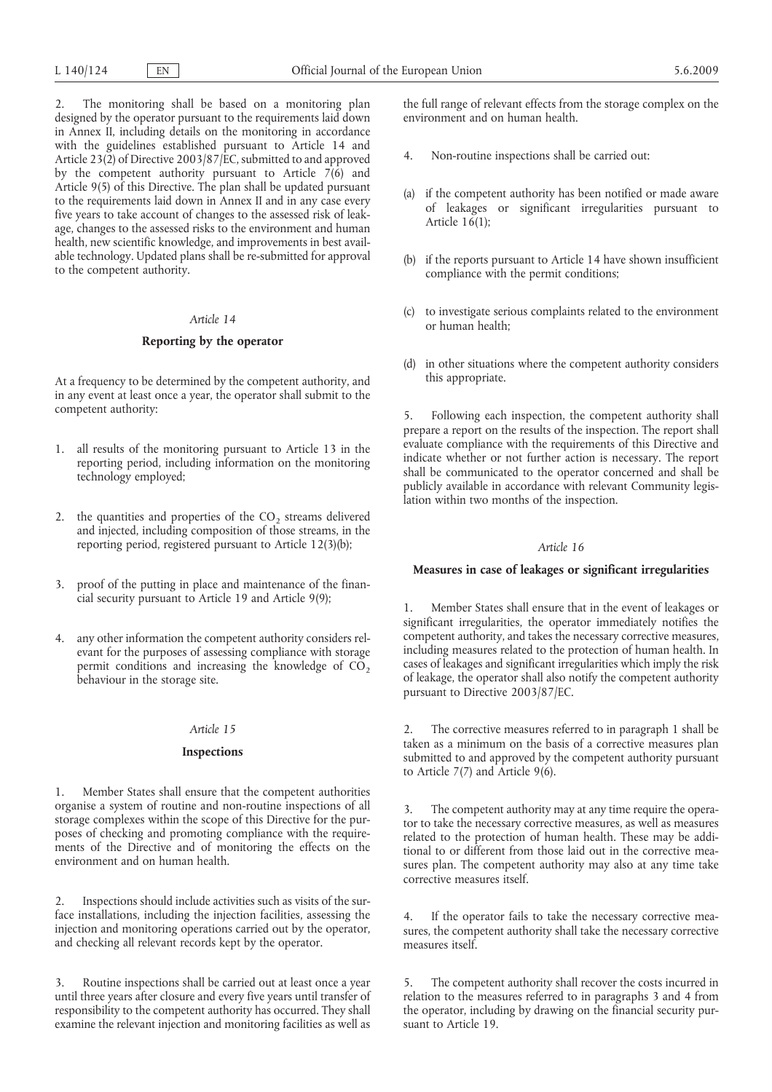2. The monitoring shall be based on a monitoring plan designed by the operator pursuant to the requirements laid down in Annex II, including details on the monitoring in accordance with the guidelines established pursuant to Article 14 and Article 23(2) of Directive 2003/87/EC, submitted to and approved by the competent authority pursuant to Article  $7(6)$  and Article 9(5) of this Directive. The plan shall be updated pursuant to the requirements laid down in Annex II and in any case every five years to take account of changes to the assessed risk of leakage, changes to the assessed risks to the environment and human health, new scientific knowledge, and improvements in best available technology. Updated plans shall be re-submitted for approval to the competent authority.

# *Article 14*

### **Reporting by the operator**

At a frequency to be determined by the competent authority, and in any event at least once a year, the operator shall submit to the competent authority:

- 1. all results of the monitoring pursuant to Article 13 in the reporting period, including information on the monitoring technology employed;
- 2. the quantities and properties of the  $CO<sub>2</sub>$  streams delivered and injected, including composition of those streams, in the reporting period, registered pursuant to Article 12(3)(b);
- 3. proof of the putting in place and maintenance of the financial security pursuant to Article 19 and Article 9(9);
- 4. any other information the competent authority considers relevant for the purposes of assessing compliance with storage permit conditions and increasing the knowledge of  $CO<sub>2</sub>$ behaviour in the storage site.

# *Article 15*

#### **Inspections**

1. Member States shall ensure that the competent authorities organise a system of routine and non-routine inspections of all storage complexes within the scope of this Directive for the purposes of checking and promoting compliance with the requirements of the Directive and of monitoring the effects on the environment and on human health.

2. Inspections should include activities such as visits of the surface installations, including the injection facilities, assessing the injection and monitoring operations carried out by the operator, and checking all relevant records kept by the operator.

3. Routine inspections shall be carried out at least once a year until three years after closure and every five years until transfer of responsibility to the competent authority has occurred. They shall examine the relevant injection and monitoring facilities as well as

the full range of relevant effects from the storage complex on the environment and on human health.

- 4. Non-routine inspections shall be carried out:
- (a) if the competent authority has been notified or made aware of leakages or significant irregularities pursuant to Article 16(1);
- (b) if the reports pursuant to Article 14 have shown insufficient compliance with the permit conditions;
- (c) to investigate serious complaints related to the environment or human health;
- (d) in other situations where the competent authority considers this appropriate.

5. Following each inspection, the competent authority shall prepare a report on the results of the inspection. The report shall evaluate compliance with the requirements of this Directive and indicate whether or not further action is necessary. The report shall be communicated to the operator concerned and shall be publicly available in accordance with relevant Community legislation within two months of the inspection.

# *Article 16*

### **Measures in case of leakages or significant irregularities**

1. Member States shall ensure that in the event of leakages or significant irregularities, the operator immediately notifies the competent authority, and takes the necessary corrective measures, including measures related to the protection of human health. In cases of leakages and significant irregularities which imply the risk of leakage, the operator shall also notify the competent authority pursuant to Directive 2003/87/EC.

2. The corrective measures referred to in paragraph 1 shall be taken as a minimum on the basis of a corrective measures plan submitted to and approved by the competent authority pursuant to Article 7(7) and Article 9(6).

3. The competent authority may at any time require the operator to take the necessary corrective measures, as well as measures related to the protection of human health. These may be additional to or different from those laid out in the corrective measures plan. The competent authority may also at any time take corrective measures itself.

4. If the operator fails to take the necessary corrective measures, the competent authority shall take the necessary corrective measures itself.

5. The competent authority shall recover the costs incurred in relation to the measures referred to in paragraphs 3 and 4 from the operator, including by drawing on the financial security pursuant to Article 19.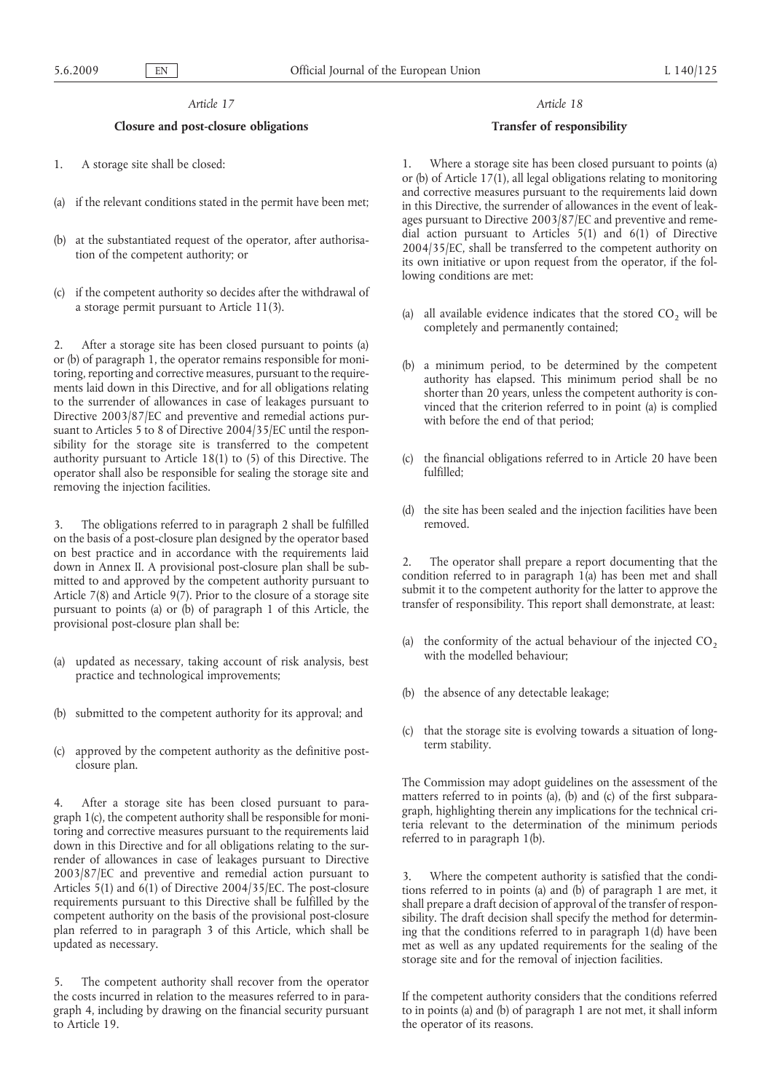## *Article 17*

### **Closure and post-closure obligations**

- 1. A storage site shall be closed:
- (a) if the relevant conditions stated in the permit have been met;
- (b) at the substantiated request of the operator, after authorisation of the competent authority; or
- (c) if the competent authority so decides after the withdrawal of a storage permit pursuant to Article 11(3).

2. After a storage site has been closed pursuant to points (a) or (b) of paragraph 1, the operator remains responsible for monitoring, reporting and corrective measures, pursuant to the requirements laid down in this Directive, and for all obligations relating to the surrender of allowances in case of leakages pursuant to Directive 2003/87/EC and preventive and remedial actions pursuant to Articles 5 to 8 of Directive 2004/35/EC until the responsibility for the storage site is transferred to the competent authority pursuant to Article 18(1) to (5) of this Directive. The operator shall also be responsible for sealing the storage site and removing the injection facilities.

3. The obligations referred to in paragraph 2 shall be fulfilled on the basis of a post-closure plan designed by the operator based on best practice and in accordance with the requirements laid down in Annex II. A provisional post-closure plan shall be submitted to and approved by the competent authority pursuant to Article 7(8) and Article 9(7). Prior to the closure of a storage site pursuant to points (a) or (b) of paragraph 1 of this Article, the provisional post-closure plan shall be:

- (a) updated as necessary, taking account of risk analysis, best practice and technological improvements;
- (b) submitted to the competent authority for its approval; and
- (c) approved by the competent authority as the definitive postclosure plan.

4. After a storage site has been closed pursuant to paragraph 1(c), the competent authority shall be responsible for monitoring and corrective measures pursuant to the requirements laid down in this Directive and for all obligations relating to the surrender of allowances in case of leakages pursuant to Directive 2003/87/EC and preventive and remedial action pursuant to Articles 5(1) and  $6(1)$  of Directive 2004/35/EC. The post-closure requirements pursuant to this Directive shall be fulfilled by the competent authority on the basis of the provisional post-closure plan referred to in paragraph 3 of this Article, which shall be updated as necessary.

The competent authority shall recover from the operator the costs incurred in relation to the measures referred to in paragraph 4, including by drawing on the financial security pursuant to Article 19.

#### *Article 18*

#### **Transfer of responsibility**

1. Where a storage site has been closed pursuant to points (a) or (b) of Article  $17(1)$ , all legal obligations relating to monitoring and corrective measures pursuant to the requirements laid down in this Directive, the surrender of allowances in the event of leakages pursuant to Directive 2003/87/EC and preventive and remedial action pursuant to Articles 5(1) and 6(1) of Directive 2004/35/EC, shall be transferred to the competent authority on its own initiative or upon request from the operator, if the following conditions are met:

- (a) all available evidence indicates that the stored  $CO<sub>2</sub>$  will be completely and permanently contained;
- (b) a minimum period, to be determined by the competent authority has elapsed. This minimum period shall be no shorter than 20 years, unless the competent authority is convinced that the criterion referred to in point (a) is complied with before the end of that period;
- (c) the financial obligations referred to in Article 20 have been fulfilled;
- (d) the site has been sealed and the injection facilities have been removed.

2. The operator shall prepare a report documenting that the condition referred to in paragraph 1(a) has been met and shall submit it to the competent authority for the latter to approve the transfer of responsibility. This report shall demonstrate, at least:

- (a) the conformity of the actual behaviour of the injected  $CO<sub>2</sub>$ with the modelled behaviour;
- (b) the absence of any detectable leakage;
- (c) that the storage site is evolving towards a situation of longterm stability.

The Commission may adopt guidelines on the assessment of the matters referred to in points (a), (b) and (c) of the first subparagraph, highlighting therein any implications for the technical criteria relevant to the determination of the minimum periods referred to in paragraph 1(b).

3. Where the competent authority is satisfied that the conditions referred to in points (a) and (b) of paragraph 1 are met, it shall prepare a draft decision of approval of the transfer of responsibility. The draft decision shall specify the method for determining that the conditions referred to in paragraph 1(d) have been met as well as any updated requirements for the sealing of the storage site and for the removal of injection facilities.

If the competent authority considers that the conditions referred to in points (a) and (b) of paragraph 1 are not met, it shall inform the operator of its reasons.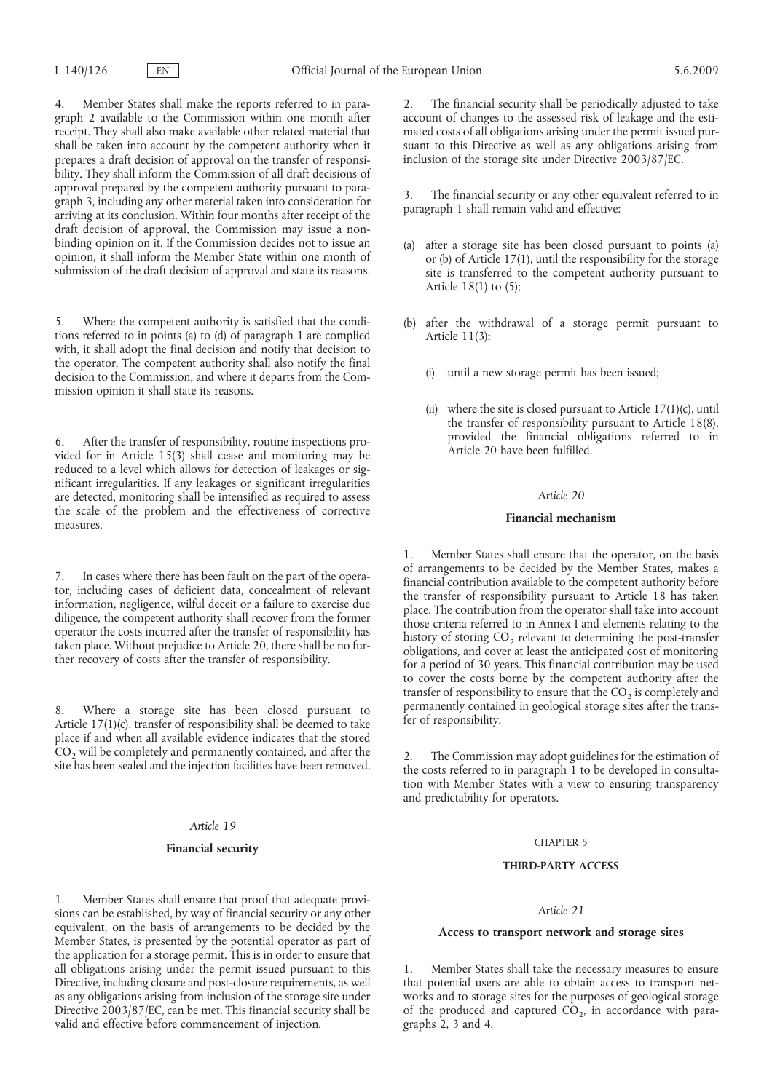4. Member States shall make the reports referred to in paragraph 2 available to the Commission within one month after receipt. They shall also make available other related material that shall be taken into account by the competent authority when it prepares a draft decision of approval on the transfer of responsibility. They shall inform the Commission of all draft decisions of approval prepared by the competent authority pursuant to paragraph 3, including any other material taken into consideration for arriving at its conclusion. Within four months after receipt of the draft decision of approval, the Commission may issue a nonbinding opinion on it. If the Commission decides not to issue an opinion, it shall inform the Member State within one month of submission of the draft decision of approval and state its reasons.

5. Where the competent authority is satisfied that the conditions referred to in points (a) to (d) of paragraph 1 are complied with, it shall adopt the final decision and notify that decision to the operator. The competent authority shall also notify the final decision to the Commission, and where it departs from the Commission opinion it shall state its reasons.

6. After the transfer of responsibility, routine inspections provided for in Article 15(3) shall cease and monitoring may be reduced to a level which allows for detection of leakages or significant irregularities. If any leakages or significant irregularities are detected, monitoring shall be intensified as required to assess the scale of the problem and the effectiveness of corrective measures.

7. In cases where there has been fault on the part of the operator, including cases of deficient data, concealment of relevant information, negligence, wilful deceit or a failure to exercise due diligence, the competent authority shall recover from the former operator the costs incurred after the transfer of responsibility has taken place. Without prejudice to Article 20, there shall be no further recovery of costs after the transfer of responsibility.

8. Where a storage site has been closed pursuant to Article 17(1)(c), transfer of responsibility shall be deemed to take place if and when all available evidence indicates that the stored  $CO<sub>2</sub>$  will be completely and permanently contained, and after the site has been sealed and the injection facilities have been removed.

#### *Article 19*

### **Financial security**

1. Member States shall ensure that proof that adequate provisions can be established, by way of financial security or any other equivalent, on the basis of arrangements to be decided by the Member States, is presented by the potential operator as part of the application for a storage permit. This is in order to ensure that all obligations arising under the permit issued pursuant to this Directive, including closure and post-closure requirements, as well as any obligations arising from inclusion of the storage site under Directive 2003/87/EC, can be met. This financial security shall be valid and effective before commencement of injection.

2. The financial security shall be periodically adjusted to take account of changes to the assessed risk of leakage and the estimated costs of all obligations arising under the permit issued pursuant to this Directive as well as any obligations arising from inclusion of the storage site under Directive 2003/87/EC.

The financial security or any other equivalent referred to in paragraph 1 shall remain valid and effective:

- (a) after a storage site has been closed pursuant to points (a) or (b) of Article 17(1), until the responsibility for the storage site is transferred to the competent authority pursuant to Article 18(1) to (5);
- (b) after the withdrawal of a storage permit pursuant to Article 11(3):
	- (i) until a new storage permit has been issued;
	- (ii) where the site is closed pursuant to Article  $17(1)(c)$ , until the transfer of responsibility pursuant to Article 18(8), provided the financial obligations referred to in Article 20 have been fulfilled.

### *Article 20*

# **Financial mechanism**

1. Member States shall ensure that the operator, on the basis of arrangements to be decided by the Member States, makes a financial contribution available to the competent authority before the transfer of responsibility pursuant to Article 18 has taken place. The contribution from the operator shall take into account those criteria referred to in Annex I and elements relating to the history of storing  $CO<sub>2</sub>$  relevant to determining the post-transfer obligations, and cover at least the anticipated cost of monitoring for a period of 30 years. This financial contribution may be used to cover the costs borne by the competent authority after the transfer of responsibility to ensure that the  $CO<sub>2</sub>$  is completely and permanently contained in geological storage sites after the transfer of responsibility.

The Commission may adopt guidelines for the estimation of the costs referred to in paragraph 1 to be developed in consultation with Member States with a view to ensuring transparency and predictability for operators.

### CHAPTER 5

#### **THIRD-PARTY ACCESS**

# *Article 21*

# **Access to transport network and storage sites**

1. Member States shall take the necessary measures to ensure that potential users are able to obtain access to transport networks and to storage sites for the purposes of geological storage of the produced and captured  $CO<sub>2</sub>$ , in accordance with paragraphs 2, 3 and 4.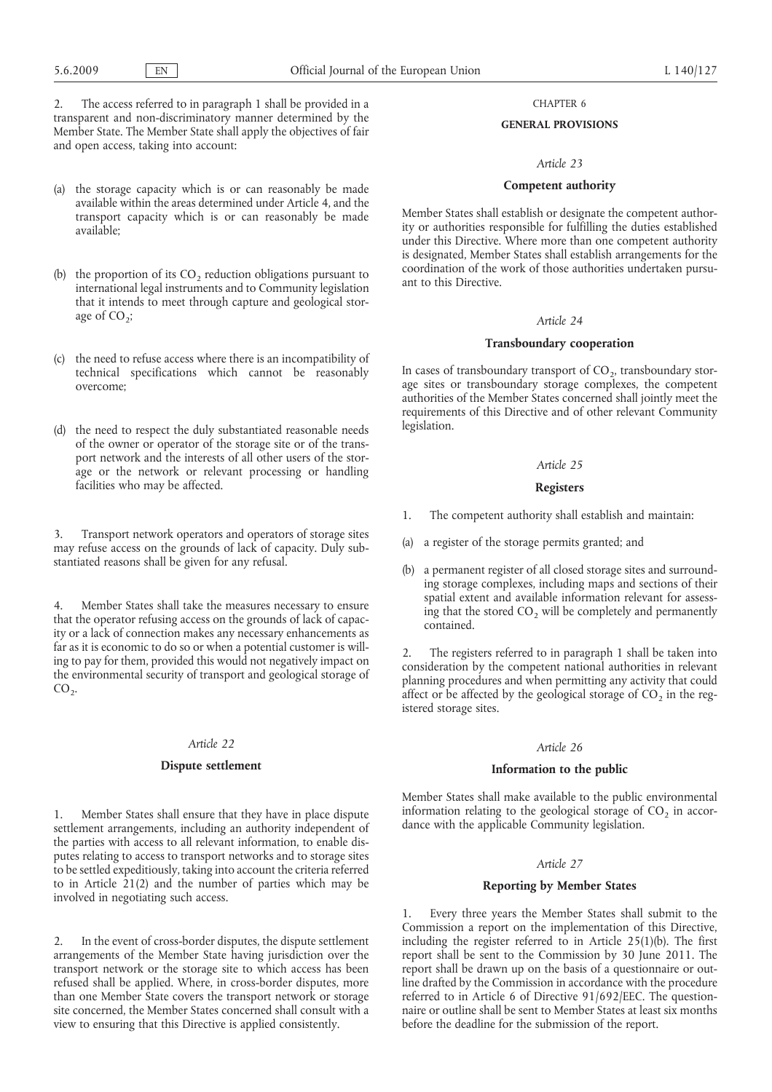2. The access referred to in paragraph 1 shall be provided in a transparent and non-discriminatory manner determined by the Member State. The Member State shall apply the objectives of fair and open access, taking into account:

- (a) the storage capacity which is or can reasonably be made available within the areas determined under Article 4, and the transport capacity which is or can reasonably be made available;
- (b) the proportion of its  $CO<sub>2</sub>$  reduction obligations pursuant to international legal instruments and to Community legislation that it intends to meet through capture and geological storage of  $CO_2$ ;
- (c) the need to refuse access where there is an incompatibility of technical specifications which cannot be reasonably overcome;
- (d) the need to respect the duly substantiated reasonable needs of the owner or operator of the storage site or of the transport network and the interests of all other users of the storage or the network or relevant processing or handling facilities who may be affected.

3. Transport network operators and operators of storage sites may refuse access on the grounds of lack of capacity. Duly substantiated reasons shall be given for any refusal.

4. Member States shall take the measures necessary to ensure that the operator refusing access on the grounds of lack of capacity or a lack of connection makes any necessary enhancements as far as it is economic to do so or when a potential customer is willing to pay for them, provided this would not negatively impact on the environmental security of transport and geological storage of  $CO<sub>2</sub>$ .

### *Article 22*

# **Dispute settlement**

1. Member States shall ensure that they have in place dispute settlement arrangements, including an authority independent of the parties with access to all relevant information, to enable disputes relating to access to transport networks and to storage sites to be settled expeditiously, taking into account the criteria referred to in Article 21(2) and the number of parties which may be involved in negotiating such access.

2. In the event of cross-border disputes, the dispute settlement arrangements of the Member State having jurisdiction over the transport network or the storage site to which access has been refused shall be applied. Where, in cross-border disputes, more than one Member State covers the transport network or storage site concerned, the Member States concerned shall consult with a view to ensuring that this Directive is applied consistently.

# CHAPTER 6

### **GENERAL PROVISIONS**

### *Article 23*

# **Competent authority**

Member States shall establish or designate the competent authority or authorities responsible for fulfilling the duties established under this Directive. Where more than one competent authority is designated, Member States shall establish arrangements for the coordination of the work of those authorities undertaken pursuant to this Directive.

# *Article 24*

### **Transboundary cooperation**

In cases of transboundary transport of  $CO<sub>2</sub>$ , transboundary storage sites or transboundary storage complexes, the competent authorities of the Member States concerned shall jointly meet the requirements of this Directive and of other relevant Community legislation.

#### *Article 25*

# **Registers**

- 1. The competent authority shall establish and maintain:
- (a) a register of the storage permits granted; and
- (b) a permanent register of all closed storage sites and surrounding storage complexes, including maps and sections of their spatial extent and available information relevant for assessing that the stored  $CO<sub>2</sub>$  will be completely and permanently contained.

2. The registers referred to in paragraph 1 shall be taken into consideration by the competent national authorities in relevant planning procedures and when permitting any activity that could affect or be affected by the geological storage of  $CO<sub>2</sub>$  in the registered storage sites.

# *Article 26*

### **Information to the public**

Member States shall make available to the public environmental information relating to the geological storage of  $CO<sub>2</sub>$  in accordance with the applicable Community legislation.

# *Article 27*

### **Reporting by Member States**

1. Every three years the Member States shall submit to the Commission a report on the implementation of this Directive, including the register referred to in Article 25(1)(b). The first report shall be sent to the Commission by 30 June 2011. The report shall be drawn up on the basis of a questionnaire or outline drafted by the Commission in accordance with the procedure referred to in Article 6 of Directive 91/692/EEC. The questionnaire or outline shall be sent to Member States at least six months before the deadline for the submission of the report.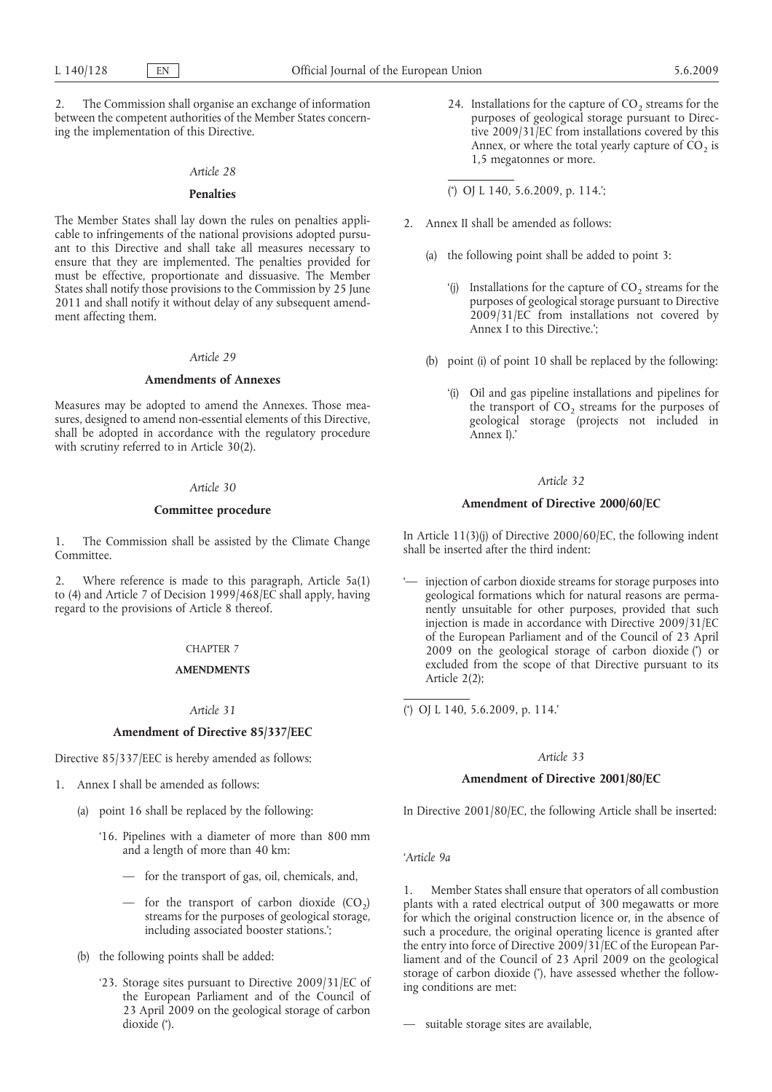2. The Commission shall organise an exchange of information between the competent authorities of the Member States concerning the implementation of this Directive.

### *Article 28*

# **Penalties**

The Member States shall lay down the rules on penalties applicable to infringements of the national provisions adopted pursuant to this Directive and shall take all measures necessary to ensure that they are implemented. The penalties provided for must be effective, proportionate and dissuasive. The Member States shall notify those provisions to the Commission by 25 June 2011 and shall notify it without delay of any subsequent amendment affecting them.

## *Article 29*

# **Amendments of Annexes**

Measures may be adopted to amend the Annexes. Those measures, designed to amend non-essential elements of this Directive, shall be adopted in accordance with the regulatory procedure with scrutiny referred to in Article 30(2).

# *Article 30*

## **Committee procedure**

1. The Commission shall be assisted by the Climate Change Committee.

2. Where reference is made to this paragraph, Article 5a(1) to (4) and Article 7 of Decision 1999/468/EC shall apply, having regard to the provisions of Article 8 thereof.

# CHAPTER 7

# **AMENDMENTS**

### *Article 31*

# **Amendment of Directive 85/337/EEC**

Directive 85/337/EEC is hereby amended as follows:

- 1. Annex I shall be amended as follows:
	- (a) point 16 shall be replaced by the following:
		- '16. Pipelines with a diameter of more than 800 mm and a length of more than 40 km:
			- for the transport of gas, oil, chemicals, and,
			- for the transport of carbon dioxide  $(CO<sub>2</sub>)$ streams for the purposes of geological storage, including associated booster stations.';
	- (b) the following points shall be added:
		- dioxide (\*). '23. Storage sites pursuant to Directive 2009/31/EC of the European Parliament and of the Council of 23 April 2009 on the geological storage of carbon
- 24. Installations for the capture of  $CO<sub>2</sub>$  streams for the purposes of geological storage pursuant to Directive 2009/31/EC from installations covered by this Annex, or where the total yearly capture of  $CO<sub>2</sub>$  is 1,5 megatonnes or more.
- ( \* ) OJ L 140, 5.6.2009, p. 114.';
- 2. Annex II shall be amended as follows:
	- (a) the following point shall be added to point 3:
		- '(j) Installations for the capture of  $CO<sub>2</sub>$  streams for the purposes of geological storage pursuant to Directive 2009/31/EC from installations not covered by Annex I to this Directive.';
	- (b) point (i) of point 10 shall be replaced by the following:
		- '(i) Oil and gas pipeline installations and pipelines for the transport of  $CO<sub>2</sub>$  streams for the purposes of geological storage (projects not included in Annex I).'

# *Article 32*

# **Amendment of Directive 2000/60/EC**

In Article 11(3)(j) of Directive 2000/60/EC, the following indent shall be inserted after the third indent:

2009 on the geological storage of carbon dioxide (\*) or '— injection of carbon dioxide streams for storage purposes into geological formations which for natural reasons are permanently unsuitable for other purposes, provided that such injection is made in accordance with Directive 2009/31/EC of the European Parliament and of the Council of 23 April excluded from the scope of that Directive pursuant to its Article 2(2);

( \* ) OJ L 140, 5.6.2009, p. 114.'

# *Article 33*

### **Amendment of Directive 2001/80/EC**

In Directive 2001/80/EC, the following Article shall be inserted:

*'Article 9a*

storage of carbon dioxide (\*), have assessed whether the follow-1. Member States shall ensure that operators of all combustion plants with a rated electrical output of 300 megawatts or more for which the original construction licence or, in the absence of such a procedure, the original operating licence is granted after the entry into force of Directive 2009/31/EC of the European Parliament and of the Council of 23 April 2009 on the geological ing conditions are met:

— suitable storage sites are available,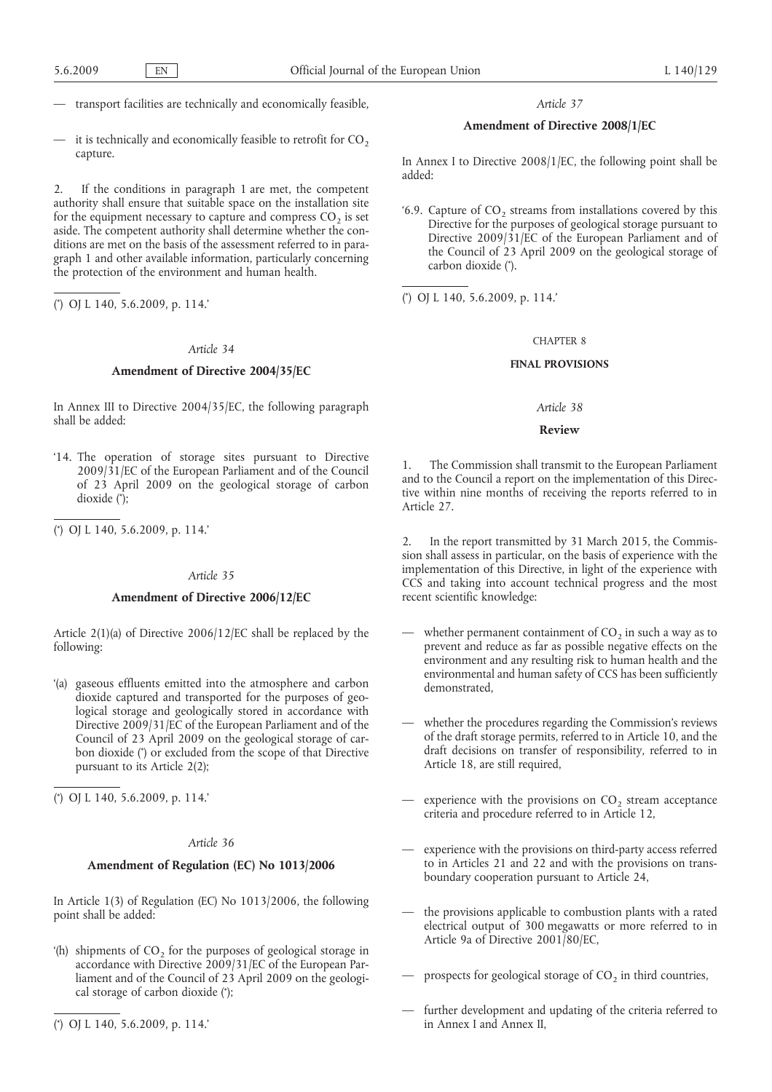- transport facilities are technically and economically feasible,
- it is technically and economically feasible to retrofit for  $CO<sub>2</sub>$ capture.

2. If the conditions in paragraph 1 are met, the competent authority shall ensure that suitable space on the installation site for the equipment necessary to capture and compress  $CO<sub>2</sub>$  is set aside. The competent authority shall determine whether the conditions are met on the basis of the assessment referred to in paragraph 1 and other available information, particularly concerning the protection of the environment and human health.

( \* ) OJ L 140, 5.6.2009, p. 114.'

## *Article 34*

# **Amendment of Directive 2004/35/EC**

In Annex III to Directive 2004/35/EC, the following paragraph shall be added:

- dioxide (\*); '14. The operation of storage sites pursuant to Directive 2009/31/EC of the European Parliament and of the Council of 23 April 2009 on the geological storage of carbon
- ( \* ) OJ L 140, 5.6.2009, p. 114.'

# *Article 35*

# **Amendment of Directive 2006/12/EC**

Article 2(1)(a) of Directive 2006/12/EC shall be replaced by the following:

bon dioxide (\*) or excluded from the scope of that Directive '(a) gaseous effluents emitted into the atmosphere and carbon dioxide captured and transported for the purposes of geological storage and geologically stored in accordance with Directive 2009/31/EC of the European Parliament and of the Council of 23 April 2009 on the geological storage of carpursuant to its Article 2(2);

( \* ) OJ L 140, 5.6.2009, p. 114.'

# *Article 36*

### **Amendment of Regulation (EC) No 1013/2006**

In Article 1(3) of Regulation (EC) No 1013/2006, the following point shall be added:

- cal storage of carbon dioxide (\*); '(h) shipments of  $CO<sub>2</sub>$  for the purposes of geological storage in accordance with Directive 2009/31/EC of the European Parliament and of the Council of 23 April 2009 on the geologi-
- ( \* ) OJ L 140, 5.6.2009, p. 114.'

## *Article 37*

# **Amendment of Directive 2008/1/EC**

In Annex I to Directive 2008/1/EC, the following point shall be added:

carbon dioxide (\*). '6.9. Capture of  $CO<sub>2</sub>$  streams from installations covered by this Directive for the purposes of geological storage pursuant to Directive 2009/31/EC of the European Parliament and of the Council of 23 April 2009 on the geological storage of

( \* ) OJ L 140, 5.6.2009, p. 114.'

# CHAPTER 8

# **FINAL PROVISIONS**

# *Article 38*

# **Review**

The Commission shall transmit to the European Parliament and to the Council a report on the implementation of this Directive within nine months of receiving the reports referred to in Article 27.

2. In the report transmitted by 31 March 2015, the Commission shall assess in particular, on the basis of experience with the implementation of this Directive, in light of the experience with CCS and taking into account technical progress and the most recent scientific knowledge:

- whether permanent containment of  $CO<sub>2</sub>$  in such a way as to prevent and reduce as far as possible negative effects on the environment and any resulting risk to human health and the environmental and human safety of CCS has been sufficiently demonstrated,
- whether the procedures regarding the Commission's reviews of the draft storage permits, referred to in Article 10, and the draft decisions on transfer of responsibility, referred to in Article 18, are still required,
- experience with the provisions on  $CO<sub>2</sub>$  stream acceptance criteria and procedure referred to in Article 12,
- experience with the provisions on third-party access referred to in Articles 21 and 22 and with the provisions on transboundary cooperation pursuant to Article 24,
- the provisions applicable to combustion plants with a rated electrical output of 300 megawatts or more referred to in Article 9a of Directive 2001/80/EC,
- prospects for geological storage of  $CO<sub>2</sub>$  in third countries,
- further development and updating of the criteria referred to in Annex I and Annex II,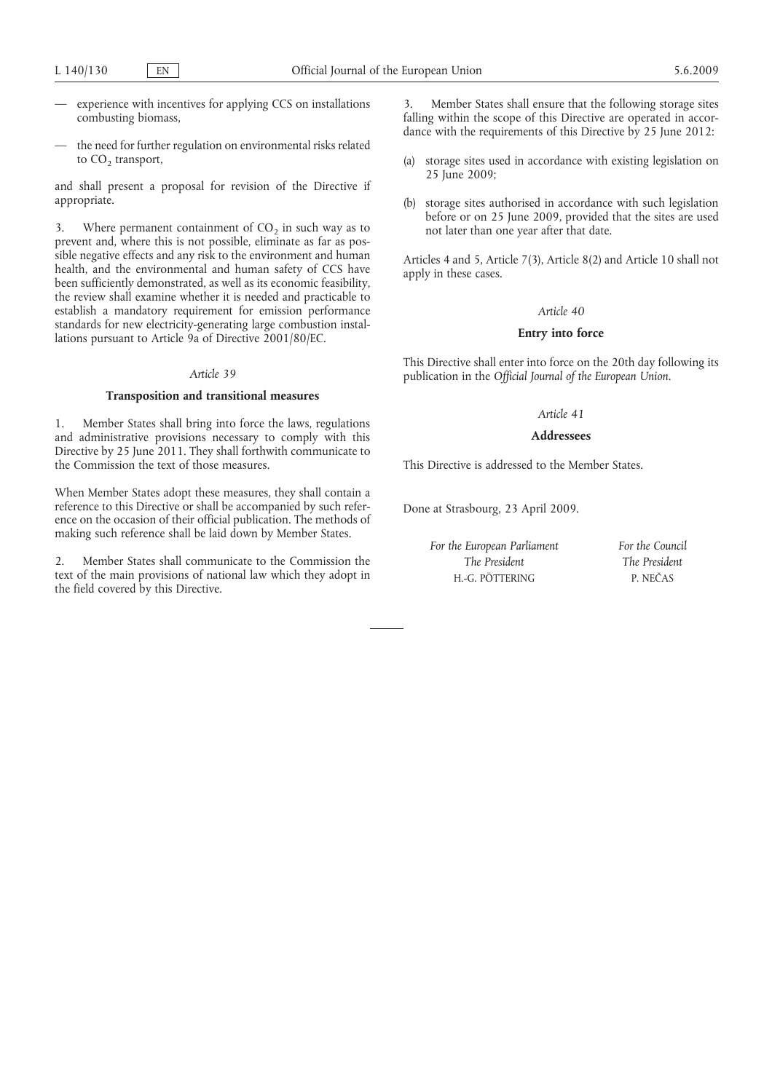- experience with incentives for applying CCS on installations combusting biomass,
- the need for further regulation on environmental risks related to  $CO<sub>2</sub>$  transport,

and shall present a proposal for revision of the Directive if appropriate.

3. Where permanent containment of  $CO<sub>2</sub>$  in such way as to prevent and, where this is not possible, eliminate as far as possible negative effects and any risk to the environment and human health, and the environmental and human safety of CCS have been sufficiently demonstrated, as well as its economic feasibility, the review shall examine whether it is needed and practicable to establish a mandatory requirement for emission performance standards for new electricity-generating large combustion installations pursuant to Article 9a of Directive 2001/80/EC.

#### *Article 39*

#### **Transposition and transitional measures**

1. Member States shall bring into force the laws, regulations and administrative provisions necessary to comply with this Directive by 25 June 2011. They shall forthwith communicate to the Commission the text of those measures.

When Member States adopt these measures, they shall contain a reference to this Directive or shall be accompanied by such reference on the occasion of their official publication. The methods of making such reference shall be laid down by Member States.

2. Member States shall communicate to the Commission the text of the main provisions of national law which they adopt in the field covered by this Directive.

3. Member States shall ensure that the following storage sites falling within the scope of this Directive are operated in accordance with the requirements of this Directive by 25 June 2012:

- (a) storage sites used in accordance with existing legislation on 25 June 2009;
- (b) storage sites authorised in accordance with such legislation before or on 25 June 2009, provided that the sites are used not later than one year after that date.

Articles 4 and 5, Article 7(3), Article 8(2) and Article 10 shall not apply in these cases.

### *Article 40*

### **Entry into force**

This Directive shall enter into force on the 20th day following its publication in the *Official Journal of the European Union*.

## *Article 41*

## **Addressees**

This Directive is addressed to the Member States.

Done at Strasbourg, 23 April 2009.

*For the European Parliament The President* H.-G. PÖTTERING

*For the Council The President* P. NEČAS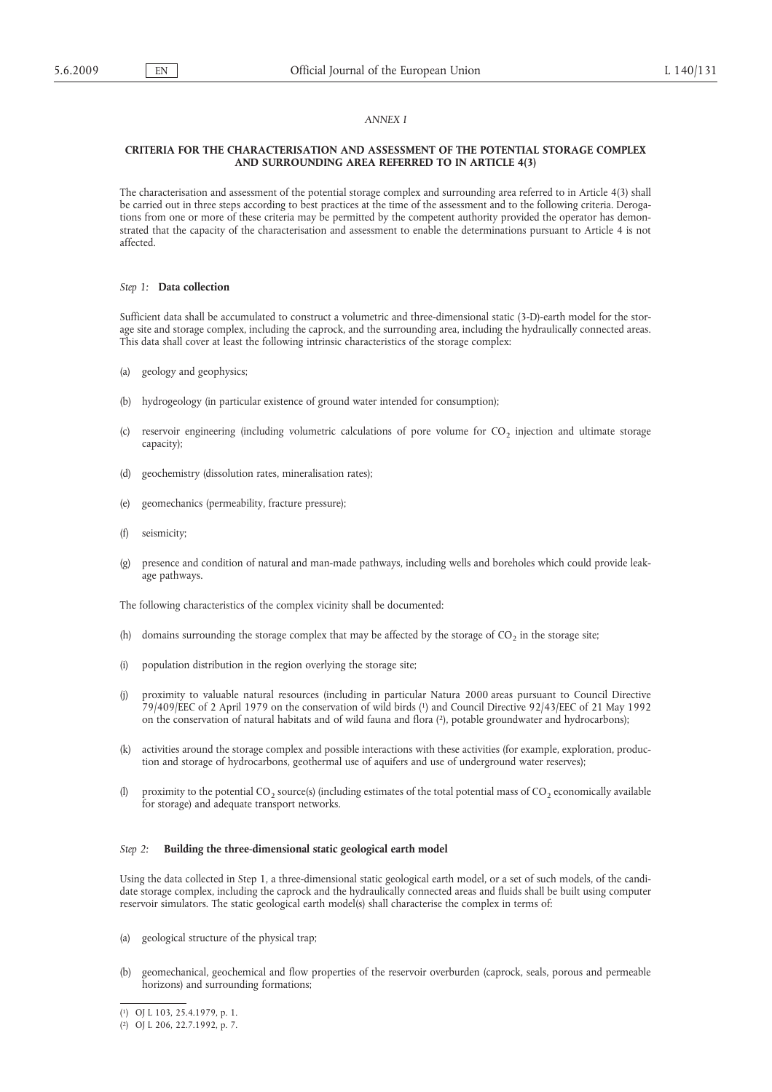## *ANNEX I*

### **CRITERIA FOR THE CHARACTERISATION AND ASSESSMENT OF THE POTENTIAL STORAGE COMPLEX AND SURROUNDING AREA REFERRED TO IN ARTICLE 4(3)**

The characterisation and assessment of the potential storage complex and surrounding area referred to in Article 4(3) shall be carried out in three steps according to best practices at the time of the assessment and to the following criteria. Derogations from one or more of these criteria may be permitted by the competent authority provided the operator has demonstrated that the capacity of the characterisation and assessment to enable the determinations pursuant to Article 4 is not affected.

### *Step 1:* **Data collection**

Sufficient data shall be accumulated to construct a volumetric and three-dimensional static (3-D)-earth model for the storage site and storage complex, including the caprock, and the surrounding area, including the hydraulically connected areas. This data shall cover at least the following intrinsic characteristics of the storage complex:

- (a) geology and geophysics;
- (b) hydrogeology (in particular existence of ground water intended for consumption);
- (c) reservoir engineering (including volumetric calculations of pore volume for  $CO<sub>2</sub>$  injection and ultimate storage capacity);
- (d) geochemistry (dissolution rates, mineralisation rates);
- (e) geomechanics (permeability, fracture pressure);
- (f) seismicity;
- (g) presence and condition of natural and man-made pathways, including wells and boreholes which could provide leakage pathways.

The following characteristics of the complex vicinity shall be documented:

- (h) domains surrounding the storage complex that may be affected by the storage of  $CO<sub>2</sub>$  in the storage site;
- (i) population distribution in the region overlying the storage site;
- 79/409/EEC of 2 April 1979 on the conservation of wild birds (1) and Council Directive 92/43/EEC of 21 May 1992 on the conservation of natural habitats and of wild fauna and flora (2), potable groundwater and hydrocarbons); (j) proximity to valuable natural resources (including in particular Natura 2000 areas pursuant to Council Directive
- (k) activities around the storage complex and possible interactions with these activities (for example, exploration, production and storage of hydrocarbons, geothermal use of aquifers and use of underground water reserves);
- (l) proximity to the potential  $CO<sub>2</sub>$  source(s) (including estimates of the total potential mass of  $CO<sub>2</sub>$  economically available for storage) and adequate transport networks.

### *Step 2:* **Building the three-dimensional static geological earth model**

Using the data collected in Step 1, a three-dimensional static geological earth model, or a set of such models, of the candidate storage complex, including the caprock and the hydraulically connected areas and fluids shall be built using computer reservoir simulators. The static geological earth model(s) shall characterise the complex in terms of:

- (a) geological structure of the physical trap;
- (b) geomechanical, geochemical and flow properties of the reservoir overburden (caprock, seals, porous and permeable horizons) and surrounding formations;

<sup>(</sup> 1) [OJ L 103, 25.4.1979, p. 1.](http://eur-lex.europa.eu/Result.do?aaaa=1979&mm=04&jj=25&type=L&nnn=103&pppp=0001&RechType=RECH_reference_pub&Submit=Search)

<sup>(</sup> 2) [OJ L 206, 22.7.1992, p. 7.](http://eur-lex.europa.eu/Result.do?aaaa=1992&mm=07&jj=22&type=L&nnn=206&pppp=0007&RechType=RECH_reference_pub&Submit=Search)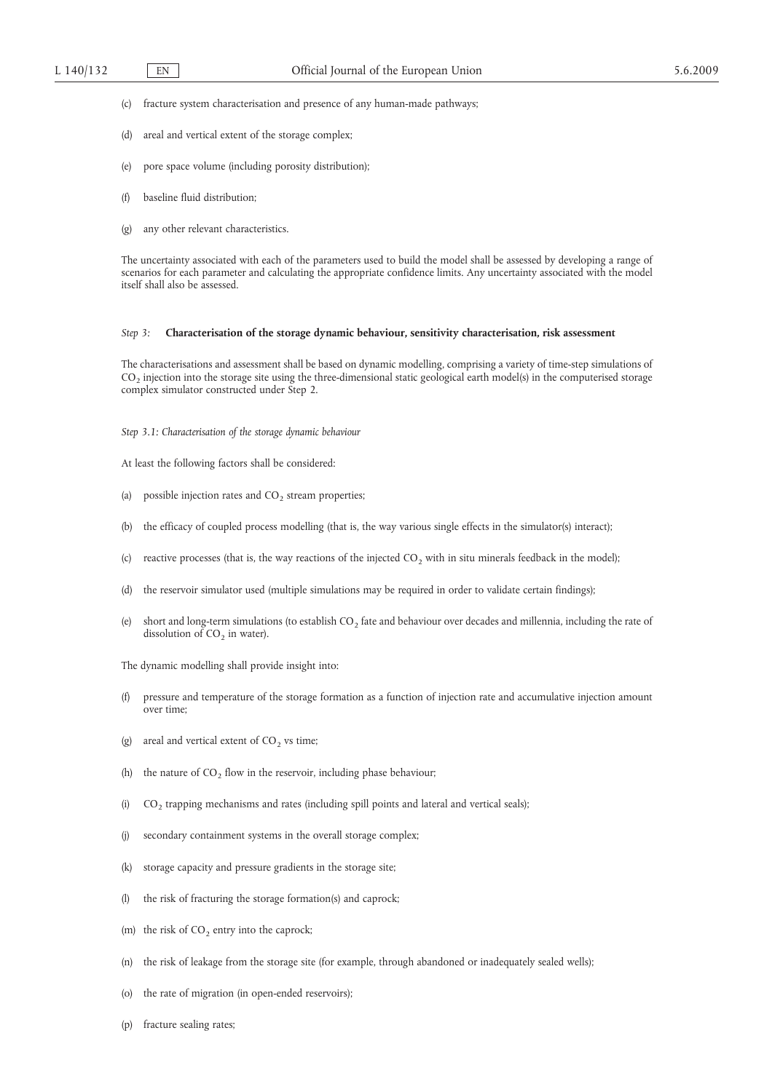- (c) fracture system characterisation and presence of any human-made pathways;
- (d) areal and vertical extent of the storage complex;
- (e) pore space volume (including porosity distribution);
- (f) baseline fluid distribution;
- (g) any other relevant characteristics.

The uncertainty associated with each of the parameters used to build the model shall be assessed by developing a range of scenarios for each parameter and calculating the appropriate confidence limits. Any uncertainty associated with the model itself shall also be assessed.

### *Step 3:* **Characterisation of the storage dynamic behaviour, sensitivity characterisation, risk assessment**

The characterisations and assessment shall be based on dynamic modelling, comprising a variety of time-step simulations of  $CO<sub>2</sub>$  injection into the storage site using the three-dimensional static geological earth model(s) in the computerised storage complex simulator constructed under Step 2.

- *Step 3.1: Characterisation of the storage dynamic behaviour*
- At least the following factors shall be considered:
- (a) possible injection rates and  $CO<sub>2</sub>$  stream properties;
- (b) the efficacy of coupled process modelling (that is, the way various single effects in the simulator(s) interact);
- (c) reactive processes (that is, the way reactions of the injected  $CO<sub>2</sub>$  with in situ minerals feedback in the model);
- (d) the reservoir simulator used (multiple simulations may be required in order to validate certain findings);
- (e) short and long-term simulations (to establish  $CO<sub>2</sub>$  fate and behaviour over decades and millennia, including the rate of dissolution of  $CO<sub>2</sub>$  in water).
- The dynamic modelling shall provide insight into:
- (f) pressure and temperature of the storage formation as a function of injection rate and accumulative injection amount over time;
- (g) areal and vertical extent of  $CO<sub>2</sub>$  vs time;
- (h) the nature of  $CO<sub>2</sub>$  flow in the reservoir, including phase behaviour;
- (i)  $CO_2$  trapping mechanisms and rates (including spill points and lateral and vertical seals);
- (j) secondary containment systems in the overall storage complex;
- (k) storage capacity and pressure gradients in the storage site;
- (l) the risk of fracturing the storage formation(s) and caprock;
- (m) the risk of  $CO<sub>2</sub>$  entry into the caprock;
- (n) the risk of leakage from the storage site (for example, through abandoned or inadequately sealed wells);
- (o) the rate of migration (in open-ended reservoirs);
- (p) fracture sealing rates;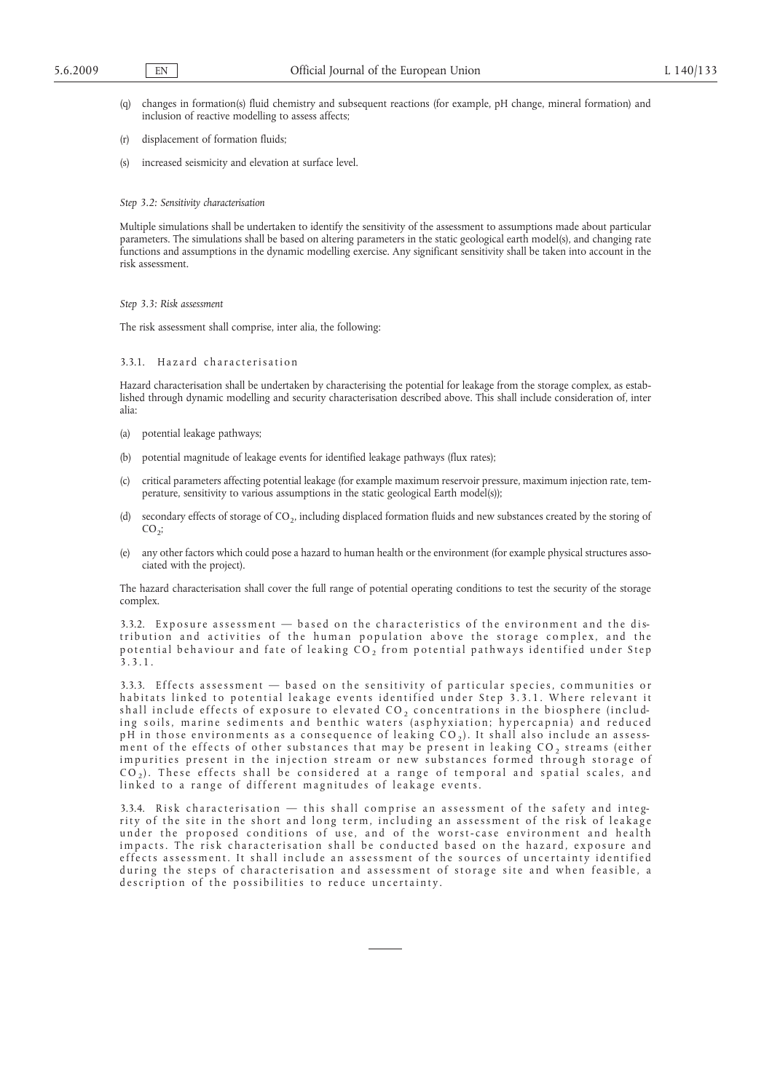- (q) changes in formation(s) fluid chemistry and subsequent reactions (for example, pH change, mineral formation) and inclusion of reactive modelling to assess affects;
- (r) displacement of formation fluids;
- (s) increased seismicity and elevation at surface level.
- *Step 3.2: Sensitivity characterisation*

Multiple simulations shall be undertaken to identify the sensitivity of the assessment to assumptions made about particular parameters. The simulations shall be based on altering parameters in the static geological earth model(s), and changing rate functions and assumptions in the dynamic modelling exercise. Any significant sensitivity shall be taken into account in the risk assessment.

*Step 3.3: Risk assessment*

The risk assessment shall comprise, inter alia, the following:

## 3.3.1. Hazard characterisation

Hazard characterisation shall be undertaken by characterising the potential for leakage from the storage complex, as established through dynamic modelling and security characterisation described above. This shall include consideration of, inter alia:

- (a) potential leakage pathways;
- (b) potential magnitude of leakage events for identified leakage pathways (flux rates);
- (c) critical parameters affecting potential leakage (for example maximum reservoir pressure, maximum injection rate, temperature, sensitivity to various assumptions in the static geological Earth model(s));
- (d) secondary effects of storage of CO2, including displaced formation fluids and new substances created by the storing of  $CO<sub>2</sub>$ ;
- (e) any other factors which could pose a hazard to human health or the environment (for example physical structures associated with the project).

The hazard characterisation shall cover the full range of potential operating conditions to test the security of the storage complex.

3.3.2. Exposure assessment  $-$  based on the characteristics of the environment and the distribution and activities of the human population above the storage complex, and the potential behaviour and fate of leaking  $CO<sub>2</sub>$  from potential pathways identified under Step 3 . 3 . 1 .

3.3.3. Effects assessment — based on the sensitivity of particular species, communities or habitats linked to potential leakage events identified under Step 3.3.1. Where relevant it shall include effects of exposure to elevated  $CO_2$  concentrations in the biosphere (including soils, marine sediments and benthic waters (asphyxiation; hypercapnia) and reduced pH in those environments as a consequence of leaking  $CO<sub>2</sub>$ ). It shall also include an assessment of the effects of other substances that may be present in leaking  $CO<sub>2</sub>$  streams (either impurities present in the injection stream or new substances formed through storage of  $CO<sub>2</sub>$ ). These effects shall be considered at a range of temporal and spatial scales, and linked to a range of different magnitudes of leakage events.

3.3.4. Risk characterisation — this shall comprise an assessment of the safety and integrity of the site in the short and long term, including an assessment of the risk of leakage under the proposed conditions of use, and of the worst-case environment and health impacts. The risk characterisation shall be conducted based on the hazard, exposure and effects assessment. It shall include an assessment of the sources of uncertainty identified during the steps of characterisation and assessment of storage site and when feasible, a description of the possibilities to reduce uncertainty.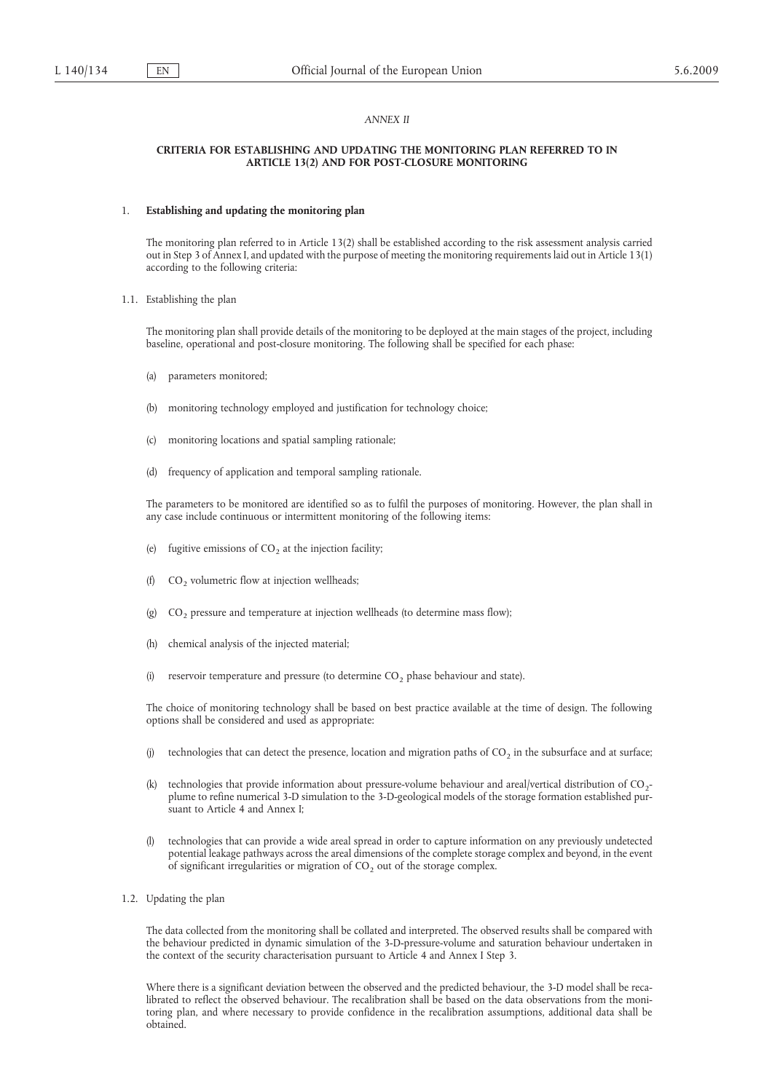## *ANNEX II*

### **CRITERIA FOR ESTABLISHING AND UPDATING THE MONITORING PLAN REFERRED TO IN ARTICLE 13(2) AND FOR POST-CLOSURE MONITORING**

#### 1. **Establishing and updating the monitoring plan**

The monitoring plan referred to in Article 13(2) shall be established according to the risk assessment analysis carried out in Step 3 of Annex I, and updated with the purpose of meeting the monitoring requirements laid out in Article 13(1) according to the following criteria:

1.1. Establishing the plan

The monitoring plan shall provide details of the monitoring to be deployed at the main stages of the project, including baseline, operational and post-closure monitoring. The following shall be specified for each phase:

- (a) parameters monitored;
- (b) monitoring technology employed and justification for technology choice;
- (c) monitoring locations and spatial sampling rationale;
- (d) frequency of application and temporal sampling rationale.

The parameters to be monitored are identified so as to fulfil the purposes of monitoring. However, the plan shall in any case include continuous or intermittent monitoring of the following items:

- (e) fugitive emissions of  $CO<sub>2</sub>$  at the injection facility;
- (f)  $CO<sub>2</sub>$  volumetric flow at injection wellheads;
- (g)  $CO<sub>2</sub>$  pressure and temperature at injection wellheads (to determine mass flow);
- (h) chemical analysis of the injected material;
- (i) reservoir temperature and pressure (to determine  $CO<sub>2</sub>$  phase behaviour and state).

The choice of monitoring technology shall be based on best practice available at the time of design. The following options shall be considered and used as appropriate:

- (j) technologies that can detect the presence, location and migration paths of  $CO<sub>2</sub>$  in the subsurface and at surface;
- (k) technologies that provide information about pressure-volume behaviour and areal/vertical distribution of  $CO<sub>2</sub>$ plume to refine numerical 3-D simulation to the 3-D-geological models of the storage formation established pursuant to Article 4 and Annex I;
- (l) technologies that can provide a wide areal spread in order to capture information on any previously undetected potential leakage pathways across the areal dimensions of the complete storage complex and beyond, in the event of significant irregularities or migration of  $CO<sub>2</sub>$  out of the storage complex.
- 1.2. Updating the plan

The data collected from the monitoring shall be collated and interpreted. The observed results shall be compared with the behaviour predicted in dynamic simulation of the 3-D-pressure-volume and saturation behaviour undertaken in the context of the security characterisation pursuant to Article 4 and Annex I Step 3.

Where there is a significant deviation between the observed and the predicted behaviour, the 3-D model shall be recalibrated to reflect the observed behaviour. The recalibration shall be based on the data observations from the monitoring plan, and where necessary to provide confidence in the recalibration assumptions, additional data shall be obtained.